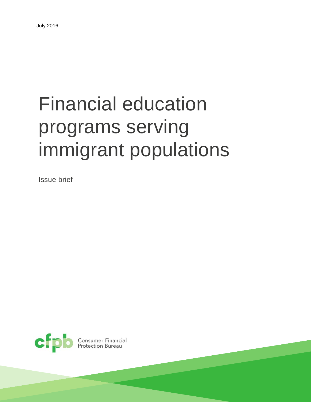# Financial education programs serving immigrant populations

Issue brief



**Consumer Financial<br>Protection Bureau**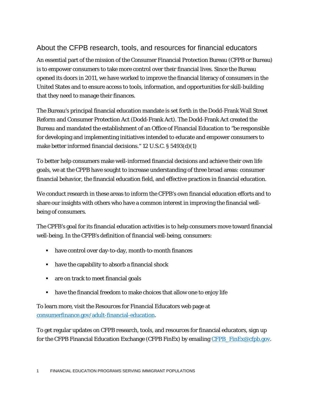### About the CFPB research, tools, and resources for financial educators

An essential part of the mission of the Consumer Financial Protection Bureau (CFPB or Bureau) is to empower consumers to take more control over their financial lives. Since the Bureau opened its doors in 2011, we have worked to improve the financial literacy of consumers in the United States and to ensure access to tools, information, and opportunities for skill-building that they need to manage their finances.

The Bureau's principal financial education mandate is set forth in the Dodd-Frank Wall Street Reform and Consumer Protection Act (Dodd-Frank Act). The Dodd-Frank Act created the Bureau and mandated the establishment of an Office of Financial Education to "be responsible for developing and implementing initiatives intended to educate and empower consumers to make better informed financial decisions." 12 U.S.C. § 5493(d)(1)

To better help consumers make well-informed financial decisions and achieve their own life goals, we at the CPPB have sought to increase understanding of three broad areas: consumer financial behavior, the financial education field, and effective practices in financial education.

We conduct research in these areas to inform the CFPB's own financial education efforts and to share our insights with others who have a common interest in improving the financial wellbeing of consumers.

The CPFB's goal for its financial education activities is to help consumers move toward financial well-being. In the CFPB's definition of financial well-being, consumers:

- have control over day-to-day, month-to-month finances
- have the capability to absorb a financial shock
- **all are on track to meet financial goals**
- have the financial freedom to make choices that allow one to enjoy life

To learn more, visit the Resources for Financial Educators web page at [consumerfinance.gov/adult-financial-education.](http://www.consumerfinance.gov/adult-financial-education/)

To get regular updates on CFPB research, tools, and resources for financial educators, sign up for the CFPB Financial Education Exchange (CFPB FinEx) by emailing CFPB FinEx@cfpb.gov.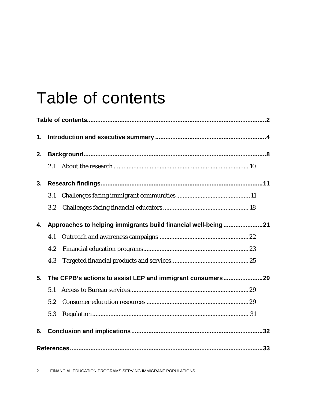# Table of contents

| 1. |     |                                                               |  |
|----|-----|---------------------------------------------------------------|--|
| 2. |     |                                                               |  |
|    | 2.1 |                                                               |  |
| 3. |     |                                                               |  |
|    | 3.1 |                                                               |  |
|    | 3.2 |                                                               |  |
| 4. |     | Approaches to helping immigrants build financial well-being21 |  |
|    | 4.1 |                                                               |  |
|    | 4.2 |                                                               |  |
|    | 4.3 |                                                               |  |
| 5. |     | The CFPB's actions to assist LEP and immigrant consumers29    |  |
|    | 5.1 |                                                               |  |
|    | 5.2 |                                                               |  |
|    | 5.3 |                                                               |  |
| 6. |     |                                                               |  |
|    |     |                                                               |  |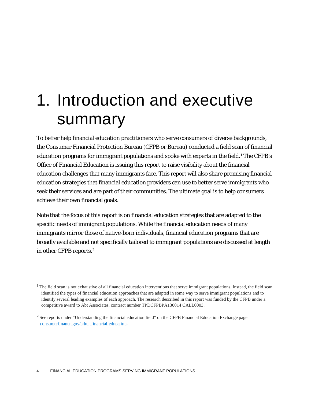# 1. Introduction and executive summary

To better help financial education practitioners who serve consumers of diverse backgrounds, the Consumer Financial Protection Bureau (CFPB or Bureau) conducted a field scan of financial education programs for immigrant populations and spoke with experts in the field[.1](#page-4-0) The CFPB's Office of Financial Education is issuing this report to raise visibility about the financial education challenges that many immigrants face. This report will also share promising financial education strategies that financial education providers can use to better serve immigrants who seek their services and are part of their communities. The ultimate goal is to help consumers achieve their own financial goals.

Note that the focus of this report is on financial education strategies that are adapted to the specific needs of immigrant populations. While the financial education needs of many immigrants mirror those of native-born individuals, financial education programs that are broadly available and not specifically tailored to immigrant populations are discussed at length in other CFPB reports.[2](#page-4-1)

<span id="page-4-0"></span><sup>&</sup>lt;sup>1</sup> The field scan is not exhaustive of all financial education interventions that serve immigrant populations. Instead, the field scan identified the types of financial education approaches that are adapted in some way to serve immigrant populations and to identify several leading examples of each approach. The research described in this report was funded by the CFPB under a competitive award to Abt Associates, contract number TPDCFPBPA130014 CALL0003.

<span id="page-4-1"></span><sup>2</sup> See reports under "Understanding the financial education field" on the CFPB Financial Education Exchange page: [consumerfinance.gov/adult-financial-education.](http://www.consumerfinance.gov/adult-financial-education)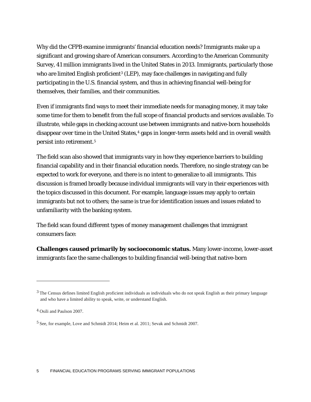Why did the CFPB examine immigrants' financial education needs? Immigrants make up a significant and growing share of American consumers. According to the American Community Survey, 41 million immigrants lived in the United States in 2013. Immigrants, particularly those who are limited English proficient<sup>[3](#page-5-0)</sup> (LEP), may face challenges in navigating and fully participating in the U.S. financial system, and thus in achieving financial well-being for themselves, their families, and their communities.

Even if immigrants find ways to meet their immediate needs for managing money, it may take some time for them to benefit from the full scope of financial products and services available. To illustrate, while gaps in checking account use between immigrants and native-born households disappear over time in the United States,<sup>4</sup> gaps in longer-term assets held and in overall wealth persist into retirement.[5](#page-5-2)

The field scan also showed that immigrants vary in how they experience barriers to building financial capability and in their financial education needs. Therefore, no single strategy can be expected to work for everyone, and there is no intent to generalize to all immigrants. This discussion is framed broadly because individual immigrants will vary in their experiences with the topics discussed in this document. For example, language issues may apply to certain immigrants but not to others; the same is true for identification issues and issues related to unfamiliarity with the banking system.

The field scan found different types of money management challenges that immigrant consumers face:

**Challenges caused primarily by socioeconomic status.** Many lower-income, lower-asset immigrants face the same challenges to building financial well-being that native-born

<span id="page-5-0"></span><sup>&</sup>lt;sup>3</sup> The Census defines limited English proficient individuals as individuals who do not speak English as their primary language and who have a limited ability to speak, write, or understand English.

<span id="page-5-1"></span><sup>4</sup> Osili and Paulson 2007.

<span id="page-5-2"></span><sup>5</sup> See, for example, Love and Schmidt 2014; Heim et al. 2011; Sevak and Schmidt 2007.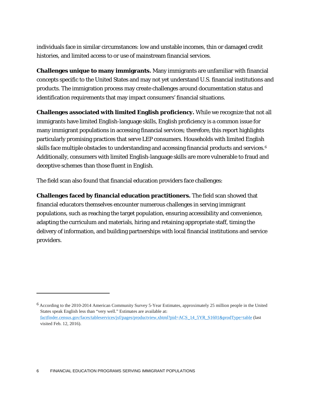individuals face in similar circumstances: low and unstable incomes, thin or damaged credit histories, and limited access to or use of mainstream financial services.

**Challenges unique to many immigrants.** Many immigrants are unfamiliar with financial concepts specific to the United States and may not yet understand U.S. financial institutions and products. The immigration process may create challenges around documentation status and identification requirements that may impact consumers' financial situations.

**Challenges associated with limited English proficiency.** While we recognize that not all immigrants have limited English-language skills, English proficiency is a common issue for many immigrant populations in accessing financial services; therefore, this report highlights particularly promising practices that serve LEP consumers. Households with limited English skills face multiple obstacles to understanding and accessing financial products and services.<sup>[6](#page-6-0)</sup> Additionally, consumers with limited English-language skills are more vulnerable to fraud and deceptive schemes than those fluent in English.

The field scan also found that financial education providers face challenges:

**Challenges faced by financial education practitioners.** The field scan showed that financial educators themselves encounter numerous challenges in serving immigrant populations, such as reaching the target population, ensuring accessibility and convenience, adapting the curriculum and materials, hiring and retaining appropriate staff, timing the delivery of information, and building partnerships with local financial institutions and service providers.

<span id="page-6-0"></span><sup>6</sup> According to the 2010-2014 American Community Survey 5-Year Estimates, approximately 25 million people in the United States speak English less than "very well." Estimates are available at: [factfinder.census.gov/faces/tableservices/jsf/pages/productview.xhtml?pid=ACS\\_14\\_5YR\\_S1601&prodType=table](http://factfinder.census.gov/faces/tableservices/jsf/pages/productview.xhtml?pid=ACS_14_5YR_S1601&prodType=table) (last visited Feb. 12, 2016).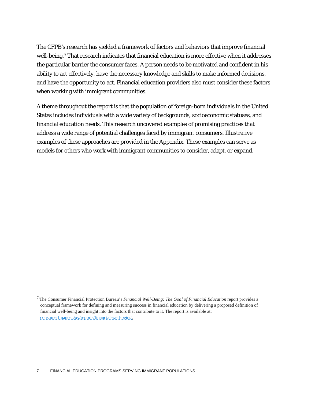The CFPB's research has yielded a framework of factors and behaviors that improve financial well-being.<sup>[7](#page-7-0)</sup> That research indicates that financial education is more effective when it addresses the particular barrier the consumer faces. A person needs to be motivated and confident in his ability to act effectively, have the necessary knowledge and skills to make informed decisions, and have the opportunity to act. Financial education providers also must consider these factors when working with immigrant communities.

A theme throughout the report is that the population of foreign-born individuals in the United States includes individuals with a wide variety of backgrounds, socioeconomic statuses, and financial education needs. This research uncovered examples of promising practices that address a wide range of potential challenges faced by immigrant consumers. Illustrative examples of these approaches are provided in the Appendix. These examples can serve as models for others who work with immigrant communities to consider, adapt, or expand.

<span id="page-7-0"></span><sup>7</sup> The Consumer Financial Protection Bureau's *Financial Well-Being: The Goal of Financial Education* report provides a conceptual framework for defining and measuring success in financial education by delivering a proposed definition of financial well-being and insight into the factors that contribute to it. The report is available at: [consumerfinance.gov/reports/financial-well-being.](http://www.consumerfinance.gov/reports/financial-well-being)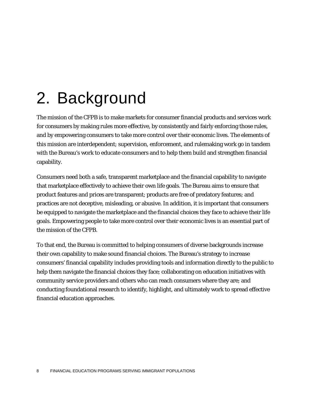# 2. Background

The mission of the CFPB is to make markets for consumer financial products and services work for consumers by making rules more effective, by consistently and fairly enforcing those rules, and by empowering consumers to take more control over their economic lives. The elements of this mission are interdependent; supervision, enforcement, and rulemaking work go in tandem with the Bureau's work to educate consumers and to help them build and strengthen financial capability.

Consumers need both a safe, transparent marketplace and the financial capability to navigate that marketplace effectively to achieve their own life goals. The Bureau aims to ensure that product features and prices are transparent; products are free of predatory features; and practices are not deceptive, misleading, or abusive. In addition, it is important that consumers be equipped to navigate the marketplace and the financial choices they face to achieve their life goals. Empowering people to take more control over their economic lives is an essential part of the mission of the CFPB.

To that end, the Bureau is committed to helping consumers of diverse backgrounds increase their own capability to make sound financial choices. The Bureau's strategy to increase consumers' financial capability includes providing tools and information directly to the public to help them navigate the financial choices they face; collaborating on education initiatives with community service providers and others who can reach consumers where they are; and conducting foundational research to identify, highlight, and ultimately work to spread effective financial education approaches.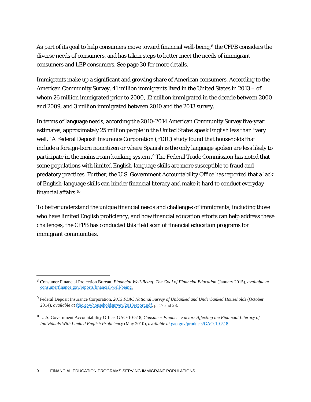As part of its goal to help consumers move toward financial well-being,<sup>[8](#page-9-0)</sup> the CFPB considers the diverse needs of consumers, and has taken steps to better meet the needs of immigrant consumers and LEP consumers. See page 30 for more details.

Immigrants make up a significant and growing share of American consumers. According to the American Community Survey, 41 million immigrants lived in the United States in 2013 – of whom 26 million immigrated prior to 2000, 12 million immigrated in the decade between 2000 and 2009, and 3 million immigrated between 2010 and the 2013 survey.

In terms of language needs, according the 2010-2014 American Community Survey five-year estimates, approximately 25 million people in the United States speak English less than "very well." A Federal Deposit Insurance Corporation (FDIC) study found that households that include a foreign-born noncitizen or where Spanish is the only language spoken are less likely to participate in the mainstream banking system.[9](#page-9-1) The Federal Trade Commission has noted that some populations with limited English-language skills are more susceptible to fraud and predatory practices. Further, the U.S. Government Accountability Office has reported that a lack of English-language skills can hinder financial literacy and make it hard to conduct everyday financial affairs.<sup>[10](#page-9-2)</sup>

To better understand the unique financial needs and challenges of immigrants, including those who have limited English proficiency, and how financial education efforts can help address these challenges, the CFPB has conducted this field scan of financial education programs for immigrant communities.

<span id="page-9-0"></span> <sup>8</sup> Consumer Financial Protection Bureau, *Financial Well-Being: The Goal of Financial Education* (January 2015), *available at*  [consumerfinance.gov/reports/financial-well-being.](http://www.consumerfinance.gov/reports/financial-well-being)

<span id="page-9-1"></span><sup>9</sup> Federal Deposit Insurance Corporation, *2013 FDIC National Survey of Unbanked and Underbanked Households* (October 2014), *available at* [fdic.gov/householdsurvey/2013report.pdf,](http://fdic.gov/householdsurvey/2013report.pdf) p. 17 and 28.

<span id="page-9-2"></span><sup>10</sup> U.S. Government Accountability Office, GAO-10-518, *Consumer Finance: Factors Affecting the Financial Literacy of Individuals With Limited English Proficiency* (May 2010), *available at* [gao.gov/products/GAO-10-518.](http://www.gao.gov/products/GAO-10-518)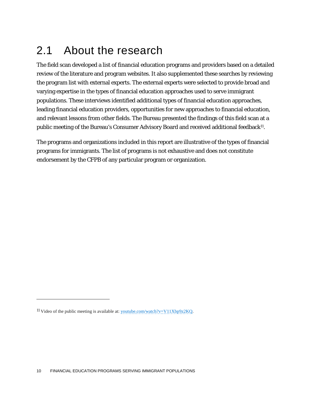## 2.1 About the research

The field scan developed a list of financial education programs and providers based on a detailed review of the literature and program websites. It also supplemented these searches by reviewing the program list with external experts. The external experts were selected to provide broad and varying expertise in the types of financial education approaches used to serve immigrant populations. These interviews identified additional types of financial education approaches, leading financial education providers, opportunities for new approaches to financial education, and relevant lessons from other fields. The Bureau presented the findings of this field scan at a public meeting of the Bureau's Consumer Advisory Board and received additional feedback<sup>11</sup>.

The programs and organizations included in this report are illustrative of the types of financial programs for immigrants. The list of programs is not exhaustive and does not constitute endorsement by the CFPB of any particular program or organization.

<span id="page-10-0"></span><sup>11</sup> Video of the public meeting is available at[: youtube.com/watch?v=V11Xbp9z2KQ.](https://www.youtube.com/watch?v=V11Xbp9z2KQ)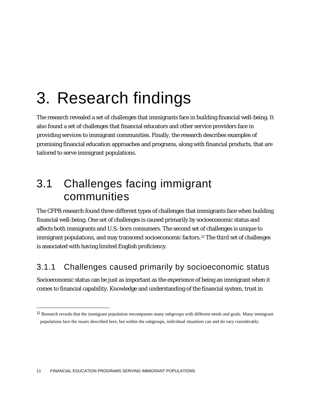# 3. Research findings

The research revealed a set of challenges that immigrants face in building financial well-being. It also found a set of challenges that financial educators and other service providers face in providing services to immigrant communities. Finally, the research describes examples of promising financial education approaches and programs, along with financial products, that are tailored to serve immigrant populations.

## 3.1 Challenges facing immigrant communities

The CFPB research found three different types of challenges that immigrants face when building financial well-being. One set of challenges is caused primarily by socioeconomic status and affects both immigrants and U.S.-born consumers. The second set of challenges is unique to immigrant populations, and may transcend socioeconomic factors.[12](#page-11-0) The third set of challenges is associated with having limited English proficiency.

### 3.1.1 Challenges caused primarily by socioeconomic status

Socioeconomic status can be just as important as the experience of being an immigrant when it comes to financial capability. Knowledge and understanding of the financial system, trust in

<span id="page-11-0"></span><sup>&</sup>lt;sup>12</sup> Research reveals that the immigrant population encompasses many subgroups with different needs and goals. Many immigrant populations face the issues described here, but within the subgroups, individual situations can and do vary considerably.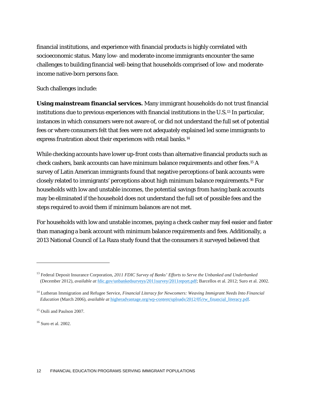financial institutions, and experience with financial products is highly correlated with socioeconomic status. Many low- and moderate-income immigrants encounter the same challenges to building financial well-being that households comprised of low- and moderateincome native-born persons face.

Such challenges include:

**Using mainstream financial services.** Many immigrant households do not trust financial institutions due to previous experiences with financial institutions in the U.S.[13](#page-12-0) In particular, instances in which consumers were not aware of, or did not understand the full set of potential fees or where consumers felt that fees were not adequately explained led some immigrants to express frustration about their experiences with retail banks.[14](#page-12-1)

While checking accounts have lower up-front costs than alternative financial products such as check cashers, bank accounts can have minimum balance requirements and other fees[.15](#page-12-2) A survey of Latin American immigrants found that negative perceptions of bank accounts were closely related to immigrants' perceptions about high minimum balance requirements.[16](#page-12-3) For households with low and unstable incomes, the potential savings from having bank accounts may be eliminated if the household does not understand the full set of possible fees and the steps required to avoid them if minimum balances are not met.

For households with low and unstable incomes, paying a check casher may feel easier and faster than managing a bank account with minimum balance requirements and fees. Additionally, a 2013 National Council of La Raza study found that the consumers it surveyed believed that

<span id="page-12-3"></span><sup>16</sup> Suro et al. 2002.

<span id="page-12-0"></span><sup>13</sup> Federal Deposit Insurance Corporation, *2011 FDIC Survey of Banks' Efforts to Serve the Unbanked and Underbanked* (December 2012), *available at* [fdic.gov/unbankedsurveys/2011survey/2011report.pdf;](https://www.fdic.gov/unbankedsurveys/2011survey/2011report.pdf) Barcellos et al. 2012; Suro et al. 2002.

<span id="page-12-1"></span><sup>&</sup>lt;sup>14</sup> Lutheran Immigration and Refugee Service, *Financial Literacy for Newcomers: Weaving Immigrant Needs Into Financial Education* (March 2006), *available at* [higheradvantage.org/wp-content/uploads/2012/05/rw\\_financial\\_literacy.pdf.](http://www.higheradvantage.org/wp-content/uploads/2012/05/rw_financial_literacy.pdf)

<span id="page-12-2"></span><sup>15</sup> Osili and Paulson 2007.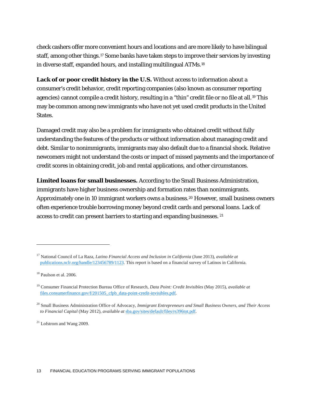check cashers offer more convenient hours and locations and are more likely to have bilingual staff, among other things.<sup>[17](#page-13-0)</sup> Some banks have taken steps to improve their services by investing in diverse staff, expanded hours, and installing multilingual ATMs.[18](#page-13-1)

**Lack of or poor credit history in the U.S.** Without access to information about a consumer's credit behavior, credit reporting companies (also known as consumer reporting agencies) cannot compile a credit history, resulting in a "thin" credit file or no file at all.<sup>[19](#page-13-2)</sup> This may be common among new immigrants who have not yet used credit products in the United States.

Damaged credit may also be a problem for immigrants who obtained credit without fully understanding the features of the products or without information about managing credit and debt. Similar to nonimmigrants, immigrants may also default due to a financial shock. Relative newcomers might not understand the costs or impact of missed payments and the importance of credit scores in obtaining credit, job and rental applications, and other circumstances.

**Limited loans for small businesses.** According to the Small Business Administration, immigrants have higher business ownership and formation rates than nonimmigrants. Approximately one in 10 immigrant workers owns a business.[20](#page-13-3) However, small business owners often experience trouble borrowing money beyond credit cards and personal loans. Lack of access to credit can present barriers to starting and expanding businesses. [21](#page-13-4)

<span id="page-13-0"></span><sup>17</sup> National Council of La Raza, *Latino Financial Access and Inclusion in California* (June 2013), *available at* [publications.nclr.org/handle/123456789/1123.](http://publications.nclr.org/handle/123456789/1123) This report is based on a financial survey of Latinos in California.

<span id="page-13-1"></span><sup>18</sup> Paulson et al. 2006.

<span id="page-13-2"></span><sup>19</sup> Consumer Financial Protection Bureau Office of Research, *Data Point: Credit Invisibles* (May 2015), *available at* [files.consumerfinance.gov/f/201505\\_cfpb\\_data-point-credit-invisibles.pdf.](http://files.consumerfinance.gov/f/201505_cfpb_data-point-credit-invisibles.pdf)

<span id="page-13-3"></span><sup>20</sup> Small Business Administration Office of Advocacy, *Immigrant Entrepreneurs and Small Business Owners, and Their Access to Financial Capital* (May 2012), *available at* [sba.gov/sites/default/files/rs396tot.pdf.](https://www.sba.gov/sites/default/files/rs396tot.pdf)

<span id="page-13-4"></span><sup>&</sup>lt;sup>21</sup> Lofstrom and Wang 2009.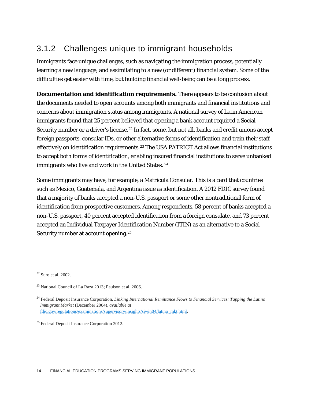### 3.1.2 Challenges unique to immigrant households

Immigrants face unique challenges, such as navigating the immigration process, potentially learning a new language, and assimilating to a new (or different) financial system. Some of the difficulties get easier with time, but building financial well-being can be a long process.

**Documentation and identification requirements.** There appears to be confusion about the documents needed to open accounts among both immigrants and financial institutions and concerns about immigration status among immigrants. A national survey of Latin American immigrants found that 25 percent believed that opening a bank account required a Social Security number or a driver's license.<sup>[22](#page-14-0)</sup> In fact, some, but not all, banks and credit unions accept foreign passports, consular IDs, or other alternative forms of identification and train their staff effectively on identification requirements.[23](#page-14-1) The USA PATRIOT Act allows financial institutions to accept both forms of identification, enabling insured financial institutions to serve unbanked immigrants who live and work in the United States. <sup>[24](#page-14-2)</sup>

Some immigrants may have, for example, a Matricula Consular. This is a card that countries such as Mexico, Guatemala, and Argentina issue as identification. A 2012 FDIC survey found that a majority of banks accepted a non-U.S. passport or some other nontraditional form of identification from prospective customers. Among respondents, 58 percent of banks accepted a non-U.S. passport, 40 percent accepted identification from a foreign consulate, and 73 percent accepted an Individual Taxpayer Identification Number (ITIN) as an alternative to a Social Security number at account opening.<sup>[25](#page-14-3)</sup>

<span id="page-14-0"></span> $22$  Suro et al. 2002.

<span id="page-14-1"></span> $23$  National Council of La Raza 2013; Paulson et al. 2006.

<span id="page-14-2"></span><sup>24</sup> Federal Deposit Insurance Corporation, *Linking International Remittance Flows to Financial Services: Tapping the Latino Immigrant Market* (December 2004)*, available at* [fdic.gov/regulations/examinations/supervisory/insights/siwin04/latino\\_mkt.html.](https://www.fdic.gov/regulations/examinations/supervisory/insights/siwin04/latino_mkt.html)

<span id="page-14-3"></span><sup>&</sup>lt;sup>25</sup> Federal Deposit Insurance Corporation 2012.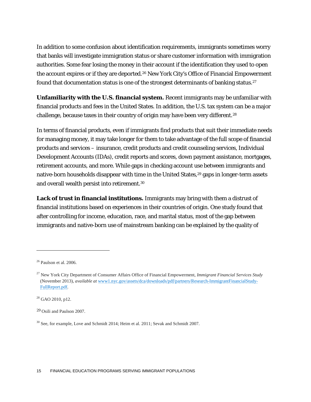In addition to some confusion about identification requirements, immigrants sometimes worry that banks will investigate immigration status or share customer information with immigration authorities. Some fear losing the money in their account if the identification they used to open the account expires or if they are deported.<sup>[26](#page-15-0)</sup> New York City's Office of Financial Empowerment found that documentation status is one of the strongest determinants of banking status.<sup>[27](#page-15-1)</sup>

**Unfamiliarity with the U.S. financial system.** Recent immigrants may be unfamiliar with financial products and fees in the United States. In addition, the U.S. tax system can be a major challenge, because taxes in their country of origin may have been very different.<sup>[28](#page-15-2)</sup>

In terms of financial products, even if immigrants find products that suit their immediate needs for managing money, it may take longer for them to take advantage of the full scope of financial products and services – insurance, credit products and credit counseling services, Individual Development Accounts (IDAs), credit reports and scores, down payment assistance, mortgages, retirement accounts, and more. While gaps in checking account use between immigrants and native-born households disappear with time in the United States,<sup>29</sup> gaps in longer-term assets and overall wealth persist into retirement[.30](#page-15-4)

**Lack of trust in financial institutions.** Immigrants may bring with them a distrust of financial institutions based on experiences in their countries of origin. One study found that after controlling for income, education, race, and marital status, most of the gap between immigrants and native-born use of mainstream banking can be explained by the quality of

<span id="page-15-0"></span><sup>26</sup> Paulson et al. 2006.

<span id="page-15-1"></span><sup>27</sup> New York City Department of Consumer Affairs Office of Financial Empowerment, *Immigrant Financial Services Study* (November 2013), *available at* [www1.nyc.gov/assets/dca/downloads/pdf/partners/Research-ImmigrantFinancialStudy-](http://www1.nyc.gov/assets/dca/downloads/pdf/partners/Research-ImmigrantFinancialStudy-FullReport.pdf)[FullReport.pdf.](http://www1.nyc.gov/assets/dca/downloads/pdf/partners/Research-ImmigrantFinancialStudy-FullReport.pdf)

<span id="page-15-2"></span><sup>28</sup> GAO 2010, p12.

<span id="page-15-3"></span><sup>29</sup> Osili and Paulson 2007.

<span id="page-15-4"></span><sup>30</sup> See, for example, Love and Schmidt 2014; Heim et al. 2011; Sevak and Schmidt 2007.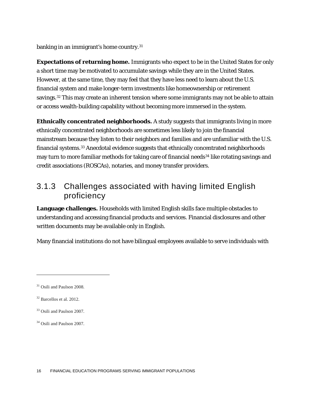banking in an immigrant's home country.[31](#page-16-0)

**Expectations of returning home.** Immigrants who expect to be in the United States for only a short time may be motivated to accumulate savings while they are in the United States. However, at the same time, they may feel that they have less need to learn about the U.S. financial system and make longer-term investments like homeownership or retirement savings.<sup>[32](#page-16-1)</sup> This may create an inherent tension where some immigrants may not be able to attain or access wealth-building capability without becoming more immersed in the system.

**Ethnically concentrated neighborhoods.** A study suggests that immigrants living in more ethnically concentrated neighborhoods are sometimes less likely to join the financial mainstream because they listen to their neighbors and families and are unfamiliar with the U.S. financial systems.[33](#page-16-2) Anecdotal evidence suggests that ethnically concentrated neighborhoods may turn to more familiar methods for taking care of financial needs<sup>[34](#page-16-3)</sup> like rotating savings and credit associations (ROSCAs), notaries, and money transfer providers.

### 3.1.3 Challenges associated with having limited English proficiency

**Language challenges.** Households with limited English skills face multiple obstacles to understanding and accessing financial products and services. Financial disclosures and other written documents may be available only in English.

Many financial institutions do not have bilingual employees available to serve individuals with

<span id="page-16-0"></span><sup>&</sup>lt;sup>31</sup> Osili and Paulson 2008.

<span id="page-16-1"></span><sup>32</sup> Barcellos et al. 2012.

<span id="page-16-2"></span><sup>33</sup> Osili and Paulson 2007.

<span id="page-16-3"></span><sup>&</sup>lt;sup>34</sup> Osili and Paulson 2007.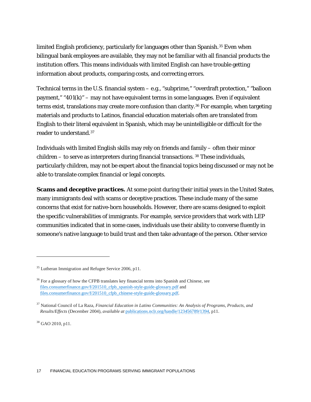limited English proficiency, particularly for languages other than Spanish.<sup>[35](#page-17-0)</sup> Even when bilingual bank employees are available, they may not be familiar with all financial products the institution offers. This means individuals with limited English can have trouble getting information about products, comparing costs, and correcting errors.

Technical terms in the U.S. financial system – e.g., "subprime," "overdraft protection," "balloon payment," " $401(k)$ " – may not have equivalent terms in some languages. Even if equivalent terms exist, translations may create more confusion than clarity.<sup>36</sup> For example, when targeting materials and products to Latinos, financial education materials often are translated from English to their literal equivalent in Spanish, which may be unintelligible or difficult for the reader to understand.[37](#page-17-2)

Individuals with limited English skills may rely on friends and family – often their minor  $children - to serve as interpreters during financial transactions.$ <sup>[38](#page-17-3)</sup> These individuals, particularly children, may not be expert about the financial topics being discussed or may not be able to translate complex financial or legal concepts.

**Scams and deceptive practices.** At some point during their initial years in the United States, many immigrants deal with scams or deceptive practices. These include many of the same concerns that exist for native-born households. However, there are scams designed to exploit the specific vulnerabilities of immigrants. For example, service providers that work with LEP communities indicated that in some cases, individuals use their ability to converse fluently in someone's native language to build trust and then take advantage of the person. Other service

<span id="page-17-3"></span><sup>38</sup> GAO 2010, p11.

<span id="page-17-0"></span><sup>&</sup>lt;sup>35</sup> Lutheran Immigration and Refugee Service 2006, p11.

<span id="page-17-1"></span> $36$  For a glossary of how the CFPB translates key financial terms into Spanish and Chinese, see [files.consumerfinance.gov/f/201510\\_cfpb\\_spanish-style-guide-glossary.pdf](http://files.consumerfinance.gov/f/201510_cfpb_spanish-style-guide-glossary.pdf) and [files.consumerfinance.gov/f/201510\\_cfpb\\_chinese-style-guide-glossary.pdf.](http://files.consumerfinance.gov/f/201510_cfpb_chinese-style-guide-glossary.pdf)

<span id="page-17-2"></span><sup>37</sup> National Council of La Raza, *Financial Education in Latino Communities: An Analysis of Programs, Products, and Results/Effects* (December 2004), *available at* [publications.nclr.org/handle/123456789/1394,](http://publications.nclr.org/handle/123456789/1394) p11.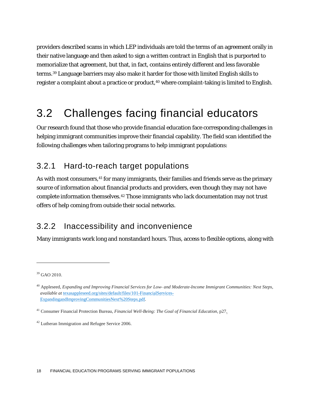providers described scams in which LEP individuals are told the terms of an agreement orally in their native language and then asked to sign a written contract in English that is purported to memorialize that agreement, but that, in fact, contains entirely different and less favorable terms.[39](#page-18-0) Language barriers may also make it harder for those with limited English skills to register a complaint about a practice or product,<sup>[40](#page-18-1)</sup> where complaint-taking is limited to English.

## 3.2 Challenges facing financial educators

Our research found that those who provide financial education face corresponding challenges in helping immigrant communities improve their financial capability. The field scan identified the following challenges when tailoring programs to help immigrant populations:

### 3.2.1 Hard-to-reach target populations

As with most consumers, <sup>[41](#page-18-2)</sup> for many immigrants, their families and friends serve as the primary source of information about financial products and providers, even though they may not have complete information themselves.[42](#page-18-3) Those immigrants who lack documentation may not trust offers of help coming from outside their social networks.

### 3.2.2 Inaccessibility and inconvenience

Many immigrants work long and nonstandard hours. Thus, access to flexible options, along with

<span id="page-18-0"></span><sup>&</sup>lt;sup>39</sup> GAO 2010.

<span id="page-18-1"></span><sup>40</sup> Appleseed, *Expanding and Improving Financial Services for Low- and Moderate-Income Immigrant Communities: Next Steps, available at* [texasappleseed.org/sites/default/files/101-FinancialServices-](https://www.texasappleseed.org/sites/default/files/101-FinancialServices-ExpandingandImprovingCommunitiesNext%20Steps.pdf)[ExpandingandImprovingCommunitiesNext%20Steps.pdf.](https://www.texasappleseed.org/sites/default/files/101-FinancialServices-ExpandingandImprovingCommunitiesNext%20Steps.pdf)

<span id="page-18-2"></span><sup>41</sup> Consumer Financial Protection Bureau, *Financial Well-Being: The Goal of Financial Education,* p27.

<span id="page-18-3"></span><sup>42</sup> Lutheran Immigration and Refugee Service 2006.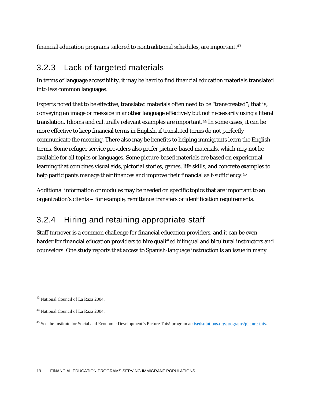financial education programs tailored to nontraditional schedules, are important.[43](#page-19-0)

### 3.2.3 Lack of targeted materials

In terms of language accessibility, it may be hard to find financial education materials translated into less common languages.

Experts noted that to be effective, translated materials often need to be "transcreated"; that is, conveying an image or message in another language effectively but not necessarily using a literal translation. Idioms and culturally relevant examples are important.[44](#page-19-1) In some cases, it can be more effective to keep financial terms in English, if translated terms do not perfectly communicate the meaning. There also may be benefits to helping immigrants learn the English terms. Some refugee service providers also prefer picture-based materials, which may not be available for all topics or languages. Some picture-based materials are based on experiential learning that combines visual aids, pictorial stories, games, life skills, and concrete examples to help participants manage their finances and improve their financial self-sufficiency.<sup>[45](#page-19-2)</sup>

Additional information or modules may be needed on specific topics that are important to an organization's clients – for example, remittance transfers or identification requirements.

### 3.2.4 Hiring and retaining appropriate staff

Staff turnover is a common challenge for financial education providers, and it can be even harder for financial education providers to hire qualified bilingual and bicultural instructors and counselors. One study reports that access to Spanish-language instruction is an issue in many

<span id="page-19-0"></span><sup>43</sup> National Council of La Raza 2004.

<span id="page-19-1"></span><sup>44</sup> National Council of La Raza 2004.

<span id="page-19-2"></span><sup>&</sup>lt;sup>45</sup> See the Institute for Social and Economic Development's Picture This! program at: [isedsolutions.org/programs/picture-this.](http://www.isedsolutions.org/programs/picture-this)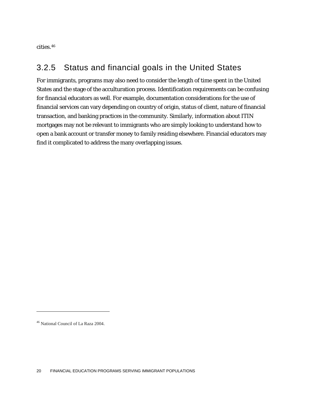cities.[46](#page-20-0)

### 3.2.5 Status and financial goals in the United States

For immigrants, programs may also need to consider the length of time spent in the United States and the stage of the acculturation process. Identification requirements can be confusing for financial educators as well. For example, documentation considerations for the use of financial services can vary depending on country of origin, status of client, nature of financial transaction, and banking practices in the community. Similarly, information about ITIN mortgages may not be relevant to immigrants who are simply looking to understand how to open a bank account or transfer money to family residing elsewhere. Financial educators may find it complicated to address the many overlapping issues.

<span id="page-20-0"></span><sup>46</sup> National Council of La Raza 2004.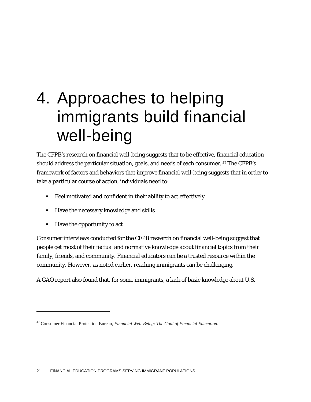# 4. Approaches to helping immigrants build financial well-being

The CFPB's research on financial well-being suggests that to be effective, financial education should address the particular situation, goals, and needs of each consumer. [47](#page-21-0) The CFPB's framework of factors and behaviors that improve financial well-being suggests that in order to take a particular course of action, individuals need to:

- Feel motivated and confident in their ability to act effectively
- Have the necessary knowledge and skills
- Have the opportunity to act

 $\overline{a}$ 

Consumer interviews conducted for the CFPB research on financial well-being suggest that people get most of their factual and normative knowledge about financial topics from their family, friends, and community. Financial educators can be a trusted resource within the community. However, as noted earlier, reaching immigrants can be challenging.

A GAO report also found that, for some immigrants, a lack of basic knowledge about U.S.

<span id="page-21-0"></span><sup>47</sup> Consumer Financial Protection Bureau, *Financial Well-Being: The Goal of Financial Education.*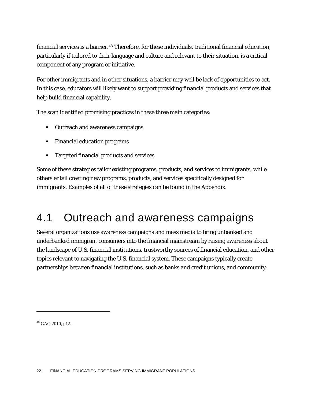financial services is a barrier.[48](#page-22-0) Therefore, for these individuals, traditional financial education, particularly if tailored to their language and culture and relevant to their situation, is a critical component of any program or initiative.

For other immigrants and in other situations, a barrier may well be lack of opportunities to act. In this case, educators will likely want to support providing financial products and services that help build financial capability.

The scan identified promising practices in these three main categories:

- **•** Outreach and awareness campaigns
- Financial education programs
- Targeted financial products and services

Some of these strategies tailor existing programs, products, and services to immigrants, while others entail creating new programs, products, and services specifically designed for immigrants. Examples of all of these strategies can be found in the Appendix.

## 4.1 Outreach and awareness campaigns

Several organizations use awareness campaigns and mass media to bring unbanked and underbanked immigrant consumers into the financial mainstream by raising awareness about the landscape of U.S. financial institutions, trustworthy sources of financial education, and other topics relevant to navigating the U.S. financial system. These campaigns typically create partnerships between financial institutions, such as banks and credit unions, and community-

<span id="page-22-0"></span><sup>48</sup> GAO 2010, p12.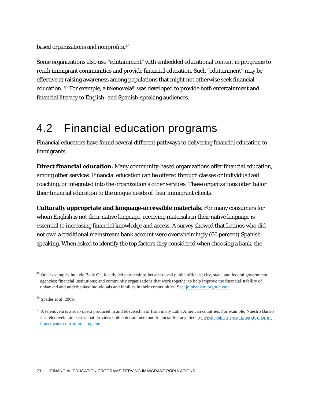based organizations and nonprofits.[49](#page-23-0)

Some organizations also use "edutainment" with embedded educational content in programs to reach immigrant communities and provide financial education. Such "edutainment" may be effective at raising awareness among populations that might not otherwise seek financial education. <sup>[50](#page-23-1)</sup> For example, a telenovela<sup>[51](#page-23-2)</sup> was developed to provide both entertainment and financial literacy to English- and Spanish-speaking audiences.

## 4.2 Financial education programs

Financial educators have found several different pathways to delivering financial education to immigrants.

**Direct financial education.** Many community-based organizations offer financial education, among other services. Financial education can be offered through classes or individualized coaching, or integrated into the organization's other services. These organizations often tailor their financial education to the unique needs of their immigrant clients.

**Culturally appropriate and language-accessible materials.** For many consumers for whom English is not their native language, receiving materials in their native language is essential to increasing financial knowledge and access. A survey showed that Latinos who did not own a traditional mainstream bank account were overwhelmingly (66 percent) Spanishspeaking. When asked to identify the top factors they considered when choosing a bank, the

<span id="page-23-0"></span><sup>&</sup>lt;sup>49</sup> Other examples include Bank On, locally led partnerships between local public officials; city, state, and federal government agencies; financial institutions; and community organizations that work together to help improve the financial stability of unbanked and underbanked individuals and families in their communities. See: [joinbankon.org/#/about.](http://www.joinbankon.org/#/about)

<span id="page-23-1"></span><sup>50</sup> Spader et al. 2009.

<span id="page-23-2"></span><sup>&</sup>lt;sup>51</sup> A telenovela is a soap opera produced in and televised in or from many Latin American countries. For example, Nuestro Barrio is a telenovela miniseries that provides both entertainment and financial literacy. See: [reinvestmentpartners.org/nuestro-barrio](http://www.reinvestmentpartners.org/nuestro-barrio-homeowner-education-campaign/)[homeowner-education-campaign.](http://www.reinvestmentpartners.org/nuestro-barrio-homeowner-education-campaign/)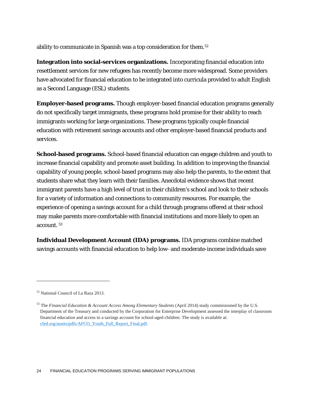ability to communicate in Spanish was a top consideration for them.[52](#page-24-0)

**Integration into social-services organizations.** Incorporating financial education into resettlement services for new refugees has recently become more widespread. Some providers have advocated for financial education to be integrated into curricula provided to adult English as a Second Language (ESL) students.

**Employer-based programs.** Though employer-based financial education programs generally do not specifically target immigrants, these programs hold promise for their ability to reach immigrants working for large organizations. These programs typically couple financial education with retirement savings accounts and other employer-based financial products and services.

**School-based programs.** School-based financial education can engage children and youth to increase financial capability and promote asset building. In addition to improving the financial capability of young people, school-based programs may also help the parents, to the extent that students share what they learn with their families. Anecdotal evidence shows that recent immigrant parents have a high level of trust in their children's school and look to their schools for a variety of information and connections to community resources. For example, the experience of opening a savings account for a child through programs offered at their school may make parents more comfortable with financial institutions and more likely to open an account. [53](#page-24-1)

**Individual Development Account (IDA) programs.** IDA programs combine matched savings accounts with financial education to help low- and moderate-income individuals save

<span id="page-24-0"></span><sup>52</sup> National Council of La Raza 2013.

<span id="page-24-1"></span><sup>53</sup> The *Financial Education & Account Access Among Elementary Students* (April 2014) study commissioned by the U.S. Department of the Treasury and conducted by the Corporation for Enterprise Development assessed the interplay of classroom financial education and access to a savings account for school-aged children. The study is available at: [cfed.org/assets/pdfs/AFCO\\_Youth\\_Full\\_Report\\_Final.pdf.](http://cfed.org/assets/pdfs/AFCO_Youth_Full_Report_Final.pdf)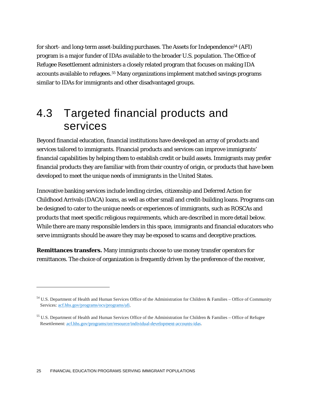for short- and long-term asset-building purchases. The Assets for Independence<sup>[54](#page-25-0)</sup> (AFI) program is a major funder of IDAs available to the broader U.S. population. The Office of Refugee Resettlement administers a closely related program that focuses on making IDA accounts available to refugees.[55](#page-25-1) Many organizations implement matched savings programs similar to IDAs for immigrants and other disadvantaged groups.

## 4.3 Targeted financial products and services

Beyond financial education, financial institutions have developed an array of products and services tailored to immigrants. Financial products and services can improve immigrants' financial capabilities by helping them to establish credit or build assets. Immigrants may prefer financial products they are familiar with from their country of origin, or products that have been developed to meet the unique needs of immigrants in the United States.

Innovative banking services include lending circles, citizenship and Deferred Action for Childhood Arrivals (DACA) loans, as well as other small and credit-building loans. Programs can be designed to cater to the unique needs or experiences of immigrants, such as ROSCAs and products that meet specific religious requirements, which are described in more detail below. While there are many responsible lenders in this space, immigrants and financial educators who serve immigrants should be aware they may be exposed to scams and deceptive practices.

**Remittances transfers.** Many immigrants choose to use money transfer operators for remittances. The choice of organization is frequently driven by the preference of the receiver,

<span id="page-25-0"></span><sup>54</sup> U.S. Department of Health and Human Services Office of the Administration for Children & Families – Office of Community Services[: acf.hhs.gov/programs/ocs/programs/afi.](http://www.acf.hhs.gov/programs/ocs/programs/afi)

<span id="page-25-1"></span><sup>55</sup> U.S. Department of Health and Human Services Office of the Administration for Children & Families – Office of Refugee Resettlement: [acf.hhs.gov/programs/orr/resource/individual-development-accounts-idas.](http://www.acf.hhs.gov/programs/orr/resource/individual-development-accounts-idas)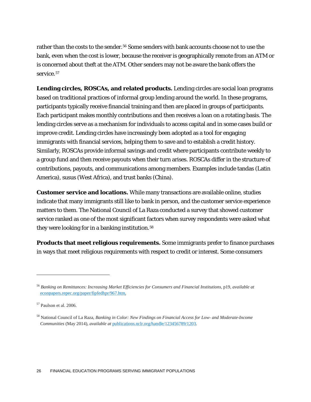rather than the costs to the sender.<sup>56</sup> Some senders with bank accounts choose not to use the bank, even when the cost is lower, because the receiver is geographically remote from an ATM or is concerned about theft at the ATM. Other senders may not be aware the bank offers the service.<sup>[57](#page-26-1)</sup>

**Lending circles, ROSCAs, and related products.** Lending circles are social loan programs based on traditional practices of informal group lending around the world. In these programs, participants typically receive financial training and then are placed in groups of participants. Each participant makes monthly contributions and then receives a loan on a rotating basis. The lending circles serve as a mechanism for individuals to access capital and in some cases build or improve credit. Lending circles have increasingly been adopted as a tool for engaging immigrants with financial services, helping them to save and to establish a credit history. Similarly, ROSCAs provide informal savings and credit where participants contribute weekly to a group fund and then receive payouts when their turn arises. ROSCAs differ in the structure of contributions, payouts, and communications among members. Examples include tandas (Latin America), susus (West Africa), and trust banks (China).

**Customer service and locations.** While many transactions are available online, studies indicate that many immigrants still like to bank in person, and the customer service experience matters to them. The National Council of La Raza conducted a survey that showed customer service ranked as one of the most significant factors when survey respondents were asked what they were looking for in a banking institution.<sup>[58](#page-26-2)</sup>

**Products that meet religious requirements.** Some immigrants prefer to finance purchases in ways that meet religious requirements with respect to credit or interest. Some consumers

<span id="page-26-0"></span><sup>56</sup> *Banking on Remittances: Increasing Market Efficiencies for Consumers and Financial Institutions,* p19, *available at* [econpapers.repec.org/paper/fipfedhpr/967.htm.](http://econpapers.repec.org/paper/fipfedhpr/967.htm)

<span id="page-26-1"></span><sup>57</sup> Paulson et al. 2006.

<span id="page-26-2"></span><sup>58</sup> National Council of La Raza, *Banking in Color: New Findings on Financial Access for Low- and Moderate-Income Communities* (May 2014), *available at* [publications.nclr.org/handle/123456789/1203.](http://publications.nclr.org/handle/123456789/1203)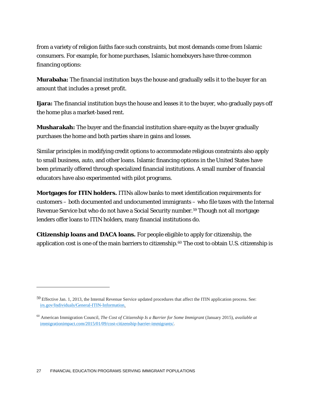from a variety of religion faiths face such constraints, but most demands come from Islamic consumers. For example, for home purchases, Islamic homebuyers have three common financing options:

**Murabaha:** The financial institution buys the house and gradually sells it to the buyer for an amount that includes a preset profit.

**Ijara:** The financial institution buys the house and leases it to the buyer, who gradually pays off the home plus a market-based rent.

**Musharakah:** The buyer and the financial institution share equity as the buyer gradually purchases the home and both parties share in gains and losses.

Similar principles in modifying credit options to accommodate religious constraints also apply to small business, auto, and other loans. Islamic financing options in the United States have been primarily offered through specialized financial institutions. A small number of financial educators have also experimented with pilot programs.

**Mortgages for ITIN holders.** ITINs allow banks to meet identification requirements for customers – both documented and undocumented immigrants – who file taxes with the Internal Revenue Service but who do not have a Social Security number.[59](#page-27-0) Though not all mortgage lenders offer loans to ITIN holders, many financial institutions do.

**Citizenship loans and DACA loans.** For people eligible to apply for citizenship, the application cost is one of the main barriers to citizenship.[60](#page-27-1) The cost to obtain U.S. citizenship is

<span id="page-27-0"></span><sup>59</sup> Effective Jan. 1, 2013, the Internal Revenue Service updated procedures that affect the ITIN application process. See: [irs.gov/Individuals/General-ITIN-Information.](http://www.irs.gov/Individuals/General-ITIN-Information)

<span id="page-27-1"></span><sup>60</sup> American Immigration Council, *The Cost of Citizenship Is a Barrier for Some Immigrant* (January 2015), *available at* [immigrationimpact.com/2015/01/09/cost-citizenship-barrier-immigrants/.](http://immigrationimpact.com/2015/01/09/cost-citizenship-barrier-immigrants/)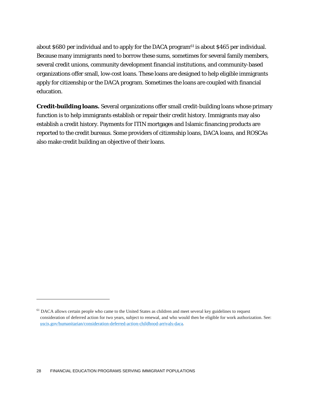about \$680 per individual and to apply for the DACA program[61](#page-28-0) is about \$465 per individual. Because many immigrants need to borrow these sums, sometimes for several family members, several credit unions, community development financial institutions, and community-based organizations offer small, low-cost loans. These loans are designed to help eligible immigrants apply for citizenship or the DACA program. Sometimes the loans are coupled with financial education.

**Credit-building loans.** Several organizations offer small credit-building loans whose primary function is to help immigrants establish or repair their credit history. Immigrants may also establish a credit history. Payments for ITIN mortgages and Islamic financing products are reported to the credit bureaus. Some providers of citizenship loans, DACA loans, and ROSCAs also make credit building an objective of their loans.

<span id="page-28-0"></span><sup>&</sup>lt;sup>61</sup> DACA allows certain people who came to the United States as children and meet several key guidelines to request consideration of deferred action for two years, subject to renewal, and who would then be eligible for work authorization. See: [uscis.gov/humanitarian/consideration-deferred-action-childhood-arrivals-daca.](http://www.uscis.gov/humanitarian/consideration-deferred-action-childhood-arrivals-daca)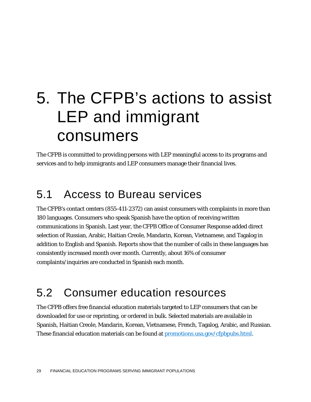# 5. The CFPB's actions to assist LEP and immigrant consumers

The CFPB is committed to providing persons with LEP meaningful access to its programs and services and to help immigrants and LEP consumers manage their financial lives.

## 5.1 Access to Bureau services

The CFPB's contact centers (855-411-2372) can assist consumers with complaints in more than 180 languages. Consumers who speak Spanish have the option of receiving written communications in Spanish. Last year, the CFPB Office of Consumer Response added direct selection of Russian, Arabic, Haitian Creole, Mandarin, Korean, Vietnamese, and Tagalog in addition to English and Spanish. Reports show that the number of calls in these languages has consistently increased month over month. Currently, about 16% of consumer complaints/inquiries are conducted in Spanish each month.

## 5.2 Consumer education resources

The CFPB offers free financial education materials targeted to LEP consumers that can be downloaded for use or reprinting, or ordered in bulk. Selected materials are available in Spanish, Haitian Creole, Mandarin, Korean, Vietnamese, French, Tagalog, Arabic, and Russian. These financial education materials can be found at <u>promotions.usa.gov/cfpbpubs.html</u>.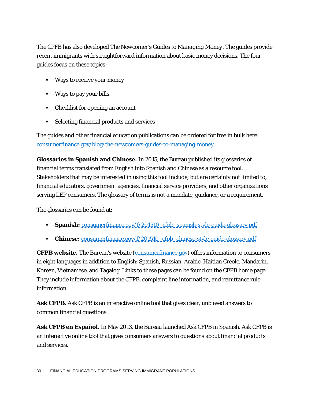The CPFB has also developed *The Newcomer's Guides to Managing Money*. The guides provide recent immigrants with straightforward information about basic money decisions. The four guides focus on these topics:

- Ways to receive your money
- Ways to pay your bills
- Checklist for opening an account
- Selecting financial products and services

The guides and other financial education publications can be ordered for free in bulk here: [consumerfinance.gov/blog/the-newcomers-guides-to-managing-money.](http://www.consumerfinance.gov/blog/the-newcomers-guides-to-managing-money)

**Glossaries in Spanish and Chinese.** In 2015, the Bureau published its glossaries of financial terms translated from English into Spanish and Chinese as a resource tool. Stakeholders that may be interested in using this tool include, but are certainly not limited to, financial educators, government agencies, financial service providers, and other organizations serving LEP consumers. The glossary of terms is not a mandate, guidance, or a requirement.

The glossaries can be found at:

- **Spanish: [consumerfinance.gov/f/201510\\_cfpb\\_spanish-style-guide-glossary.pdf](http://www.consumerfinance.gov/f/201510_cfpb_spanish-style-guide-glossary.pdf)**
- **Chinese:** [consumerfinance.gov/f/201510\\_cfpb\\_chinese-style-guide-glossary.pdf](http://www.consumerfinance.gov/f/201510_cfpb_chinese-style-guide-glossary.pdf)

**CFPB website.** The Bureau's website [\(consumerfinance.gov\)](http://www.consumerfinance.gov/) offers information to consumers in eight languages in addition to English: Spanish, Russian, Arabic, Haitian Creole, Mandarin, Korean, Vietnamese, and Tagalog. Links to these pages can be found on the CFPB home page. They include information about the CFPB, complaint line information, and remittance rule information.

**Ask CFPB.** Ask CFPB is an interactive online tool that gives clear, unbiased answers to common financial questions.

**Ask CFPB en Español.** In May 2013, the Bureau launched Ask CFPB in Spanish. Ask CFPB is an interactive online tool that gives consumers answers to questions about financial products and services.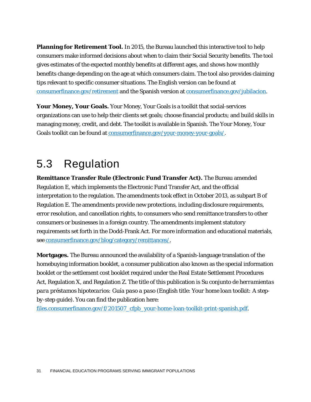**Planning for Retirement Tool.** In 2015, the Bureau launched this interactive tool to help consumers make informed decisions about when to claim their Social Security benefits. The tool gives estimates of the expected monthly benefits at different ages, and shows how monthly benefits change depending on the age at which consumers claim. The tool also provides claiming tips relevant to specific consumer situations. The English version can be found at [consumerfinance.gov/retirement](http://www.consumerfinance.gov/retirement/) and the Spanish version at [consumerfinance.gov/jubilacion.](http://www.consumerfinance.gov/jubilacion)

**Your Money, Your Goals.** Your Money, Your Goals is a toolkit that social-services organizations can use to help their clients set goals; choose financial products; and build skills in managing money, credit, and debt. The toolkit is available in Spanish. The Your Money, Your Goals toolkit can be found at [consumerfinance.gov/your-money-your-goals/.](http://www.consumerfinance.gov/your-money-your-goals/)

## 5.3 Regulation

**Remittance Transfer Rule (Electronic Fund Transfer Act).** The Bureau amended Regulation E, which implements the Electronic Fund Transfer Act, and the official interpretation to the regulation. The amendments took effect in October 2013, as subpart B of Regulation E. The amendments provide new protections, including disclosure requirements, error resolution, and cancellation rights, to consumers who send remittance transfers to other consumers or businesses in a foreign country. The amendments implement statutory requirements set forth in the Dodd-Frank Act. For more information and educational materials, see [consumerfinance.gov/blog/category/remittances/.](http://www.consumerfinance.gov/blog/category/remittances/)

**Mortgages.** The Bureau announced the availability of a Spanish-language translation of the homebuying information booklet, a consumer publication also known as the special information booklet or the settlement cost booklet required under the Real Estate Settlement Procedures Act, Regulation X, and Regulation Z. The title of this publication is *Su conjunto de herramientas para préstamos hipotecarios: Guía paso a paso* (English title: *Your home loan toolkit: A stepby-step guide*). You can find the publication here:

[files.consumerfinance.gov/f/201507\\_cfpb\\_your-home-loan-toolkit-print-spanish.pdf.](http://files.consumerfinance.gov/f/201507_cfpb_your-home-loan-toolkit-print-spanish.pdf)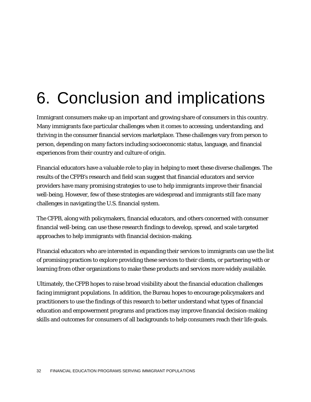# 6. Conclusion and implications

Immigrant consumers make up an important and growing share of consumers in this country. Many immigrants face particular challenges when it comes to accessing, understanding, and thriving in the consumer financial services marketplace. These challenges vary from person to person, depending on many factors including socioeconomic status, language, and financial experiences from their country and culture of origin.

Financial educators have a valuable role to play in helping to meet these diverse challenges. The results of the CFPB's research and field scan suggest that financial educators and service providers have many promising strategies to use to help immigrants improve their financial well-being. However, few of these strategies are widespread and immigrants still face many challenges in navigating the U.S. financial system.

The CFPB, along with policymakers, financial educators, and others concerned with consumer financial well-being, can use these research findings to develop, spread, and scale targeted approaches to help immigrants with financial decision-making.

Financial educators who are interested in expanding their services to immigrants can use the list of promising practices to explore providing these services to their clients, or partnering with or learning from other organizations to make these products and services more widely available.

Ultimately, the CFPB hopes to raise broad visibility about the financial education challenges facing immigrant populations. In addition, the Bureau hopes to encourage policymakers and practitioners to use the findings of this research to better understand what types of financial education and empowerment programs and practices may improve financial decision-making skills and outcomes for consumers of all backgrounds to help consumers reach their life goals.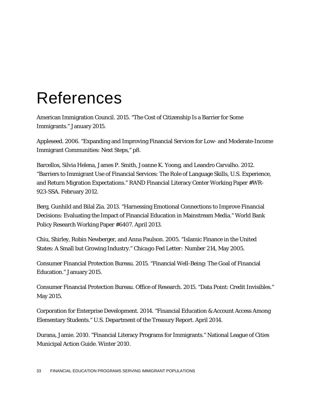# References

American Immigration Council. 2015. "The Cost of Citizenship Is a Barrier for Some Immigrants." January 2015.

Appleseed. 2006. "Expanding and Improving Financial Services for Low- and Moderate-Income Immigrant Communities: Next Steps," p8.

Barcellos, Silvia Helena, James P. Smith, Joanne K. Yoong, and Leandro Carvalho. 2012. "Barriers to Immigrant Use of Financial Services: The Role of Language Skills, U.S. Experience, and Return Migration Expectations." RAND Financial Literacy Center Working Paper #WR-923-SSA. February 2012.

Berg, Gunhild and Bilal Zia. 2013. "Harnessing Emotional Connections to Improve Financial Decisions: Evaluating the Impact of Financial Education in Mainstream Media." World Bank Policy Research Working Paper #6407. April 2013.

Chiu, Shirley, Robin Newberger, and Anna Paulson. 2005. "Islamic Finance in the United States: A Small but Growing Industry." *Chicago Fed Letter: Number 214*, May 2005.

Consumer Financial Protection Bureau. 2015. "Financial Well-Being: The Goal of Financial Education." January 2015.

Consumer Financial Protection Bureau. Office of Research. 2015. "Data Point: Credit Invisibles." May 2015.

Corporation for Enterprise Development. 2014. "Financial Education & Account Access Among Elementary Students." U.S. Department of the Treasury Report. April 2014.

Durana, Jamie. 2010. "Financial Literacy Programs for Immigrants." National League of Cities Municipal Action Guide. Winter 2010.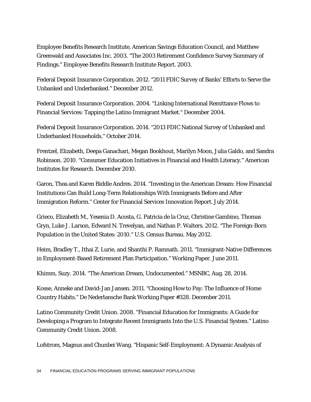Employee Benefits Research Institute, American Savings Education Council, and Matthew Greenwald and Associates Inc. 2003. "The 2003 Retirement Confidence Survey Summary of Findings." Employee Benefits Research Institute Report. 2003.

Federal Deposit Insurance Corporation. 2012. "2011 FDIC Survey of Banks' Efforts to Serve the Unbanked and Underbanked." December 2012.

Federal Deposit Insurance Corporation. 2004. "Linking International Remittance Flows to Financial Services: Tapping the Latino Immigrant Market." December 2004.

Federal Deposit Insurance Corporation. 2014. "2013 FDIC National Survey of Unbanked and Underbanked Households." October 2014.

Frentzel, Elizabeth, Deepa Ganachari, Megan Bookhout, Marilyn Moon, Julia Galdo, and Sandra Robinson. 2010. "Consumer Education Initiatives in Financial and Health Literacy." American Institutes for Research. December 2010.

Garon, Thea and Karen Biddle Andres. 2014. "Investing in the American Dream: How Financial Institutions Can Build Long-Term Relationships With Immigrants Before and After Immigration Reform." Center for Financial Services Innovation Report. July 2014.

Grieco, Elizabeth M., Yesenia D. Acosta, G. Patricia de la Cruz, Christine Gambino, Thomas Gryn, Luke J. Larson, Edward N. Trevelyan, and Nathan P. Walters. 2012. "The Foreign-Born Population in the United States: 2010." U.S. Census Bureau. May 2012.

Heim, Bradley T., Ithai Z. Lurie, and Shanthi P. Ramnath. 2011. "Immigrant-Native Differences in Employment-Based Retirement Plan Participation." Working Paper. June 2011.

Khimm, Suzy. 2014. "The American Dream, Undocumented." MSNBC, Aug. 28, 2014.

Kosse, Anneke and David-Jan Jansen. 2011. "Choosing How to Pay: The Influence of Home Country Habits." De Nederlansche Bank Working Paper #328. December 2011.

Latino Community Credit Union. 2008. "Financial Education for Immigrants: A Guide for Developing a Program to Integrate Recent Immigrants Into the U.S. Financial System." Latino Community Credit Union. 2008.

Lofstrom, Magnus and Chunbei Wang. "Hispanic Self-Employment: A Dynamic Analysis of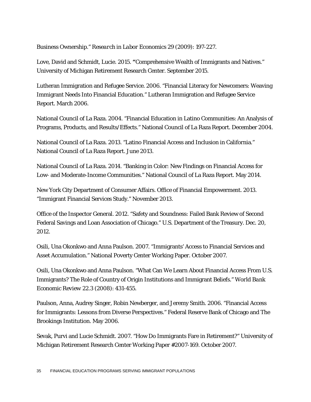Business Ownership." *Research in Labor Economics* 29 (2009): 197-227.

Love, David and Schmidt, Lucie. 2015. **"**Comprehensive Wealth of Immigrants and Natives." University of Michigan Retirement Research Center. September 2015.

Lutheran Immigration and Refugee Service. 2006. "Financial Literacy for Newcomers: Weaving Immigrant Needs Into Financial Education." Lutheran Immigration and Refugee Service Report. March 2006.

National Council of La Raza. 2004. "Financial Education in Latino Communities: An Analysis of Programs, Products, and Results/Effects." National Council of La Raza Report. December 2004.

National Council of La Raza. 2013. "Latino Financial Access and Inclusion in California." National Council of La Raza Report. June 2013.

National Council of La Raza. 2014. "Banking in Color: New Findings on Financial Access for Low- and Moderate-Income Communities." National Council of La Raza Report. May 2014.

New York City Department of Consumer Affairs. Office of Financial Empowerment. 2013. "Immigrant Financial Services Study." November 2013.

Office of the Inspector General. 2012. "Safety and Soundness: Failed Bank Review of Second Federal Savings and Loan Association of Chicago." U.S. Department of the Treasury. Dec. 20, 2012.

Osili, Una Okonkwo and Anna Paulson. 2007. "Immigrants' Access to Financial Services and Asset Accumulation." National Poverty Center Working Paper. October 2007.

Osili, Una Okonkwo and Anna Paulson. "What Can We Learn About Financial Access From U.S. Immigrants? The Role of Country of Origin Institutions and Immigrant Beliefs." *World Bank Economic Review* 22.3 (2008): 431-455.

Paulson, Anna, Audrey Singer, Robin Newberger, and Jeremy Smith. 2006. "Financial Access for Immigrants: Lessons from Diverse Perspectives." Federal Reserve Bank of Chicago and The Brookings Institution. May 2006.

Sevak, Purvi and Lucie Schmidt. 2007. "How Do Immigrants Fare in Retirement?" University of Michigan Retirement Research Center Working Paper #2007-169. October 2007.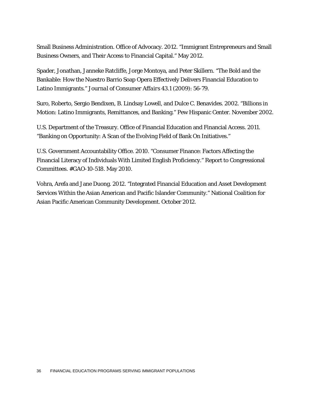Small Business Administration. Office of Advocacy. 2012. "Immigrant Entrepreneurs and Small Business Owners, and Their Access to Financial Capital." May 2012.

Spader, Jonathan, Janneke Ratcliffe, Jorge Montoya, and Peter Skillern. "The Bold and the Bankable: How the Nuestro Barrio Soap Opera Effectively Delivers Financial Education to Latino Immigrants." *Journal of Consumer Affairs* 43.1 (2009): 56-79.

Suro, Roberto, Sergio Bendixen, B. Lindsay Lowell, and Dulce C. Benavides. 2002. "Billions in Motion: Latino Immigrants, Remittances, and Banking." Pew Hispanic Center. November 2002.

U.S. Department of the Treasury. Office of Financial Education and Financial Access. 2011. "Banking on Opportunity: A Scan of the Evolving Field of Bank On Initiatives."

U.S. Government Accountability Office. 2010. "Consumer Finance: Factors Affecting the Financial Literacy of Individuals With Limited English Proficiency." Report to Congressional Committees. #GAO-10-518. May 2010.

Vohra, Arefa and Jane Duong. 2012. "Integrated Financial Education and Asset Development Services Within the Asian American and Pacific Islander Community." National Coalition for Asian Pacific American Community Development. October 2012.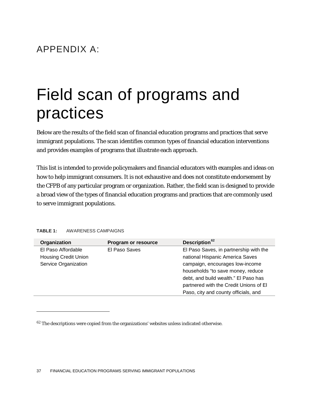## APPENDIX A:

# Field scan of programs and practices

Below are the results of the field scan of financial education programs and practices that serve immigrant populations. The scan identifies common types of financial education interventions and provides examples of programs that illustrate each approach.

This list is intended to provide policymakers and financial educators with examples and ideas on how to help immigrant consumers. It is not exhaustive and does not constitute endorsement by the CFPB of any particular program or organization. Rather, the field scan is designed to provide a broad view of the types of financial education programs and practices that are commonly used to serve immigrant populations.

#### **TABLE 1:** AWARENESS CAMPAIGNS

| Organization                | Program or resource | Description <sup>62</sup>              |
|-----------------------------|---------------------|----------------------------------------|
| El Paso Affordable          | El Paso Saves       | El Paso Saves, in partnership with the |
| <b>Housing Credit Union</b> |                     | national Hispanic America Saves        |
| Service Organization        |                     | campaign, encourages low-income        |
|                             |                     | households "to save money, reduce      |
|                             |                     | debt, and build wealth." El Paso has   |
|                             |                     | partnered with the Credit Unions of El |
|                             |                     | Paso, city and county officials, and   |

<span id="page-37-0"></span><sup>&</sup>lt;sup>62</sup> The descriptions were copied from the organizations' websites unless indicated otherwise.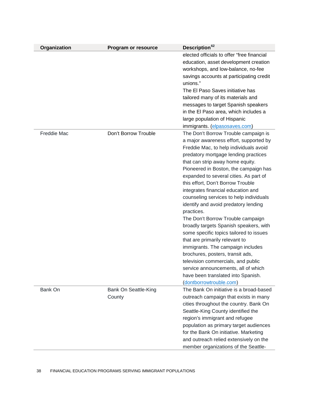| Organization       | Program or resource            | Description <sup>62</sup>                                                                                                                                                                                                                                                                                                                                                                                                                                                                                                                                                                                                                                                                                                                                                                                                                              |
|--------------------|--------------------------------|--------------------------------------------------------------------------------------------------------------------------------------------------------------------------------------------------------------------------------------------------------------------------------------------------------------------------------------------------------------------------------------------------------------------------------------------------------------------------------------------------------------------------------------------------------------------------------------------------------------------------------------------------------------------------------------------------------------------------------------------------------------------------------------------------------------------------------------------------------|
|                    |                                | elected officials to offer "free financial<br>education, asset development creation<br>workshops, and low-balance, no-fee<br>savings accounts at participating credit<br>unions."<br>The El Paso Saves initiative has<br>tailored many of its materials and<br>messages to target Spanish speakers<br>in the El Paso area, which includes a<br>large population of Hispanic<br>immigrants. (elpasosaves.com)                                                                                                                                                                                                                                                                                                                                                                                                                                           |
| <b>Freddie Mac</b> | Don't Borrow Trouble           | The Don't Borrow Trouble campaign is<br>a major awareness effort, supported by<br>Freddie Mac, to help individuals avoid<br>predatory mortgage lending practices<br>that can strip away home equity.<br>Pioneered in Boston, the campaign has<br>expanded to several cities. As part of<br>this effort, Don't Borrow Trouble<br>integrates financial education and<br>counseling services to help individuals<br>identify and avoid predatory lending<br>practices.<br>The Don't Borrow Trouble campaign<br>broadly targets Spanish speakers, with<br>some specific topics tailored to issues<br>that are primarily relevant to<br>immigrants. The campaign includes<br>brochures, posters, transit ads,<br>television commercials, and public<br>service announcements, all of which<br>have been translated into Spanish.<br>(dontborrowtrouble.com) |
| Bank On            | Bank On Seattle-King<br>County | The Bank On initiative is a broad-based<br>outreach campaign that exists in many<br>cities throughout the country. Bank On<br>Seattle-King County identified the<br>region's immigrant and refugee<br>population as primary target audiences<br>for the Bank On initiative. Marketing<br>and outreach relied extensively on the<br>member organizations of the Seattle-                                                                                                                                                                                                                                                                                                                                                                                                                                                                                |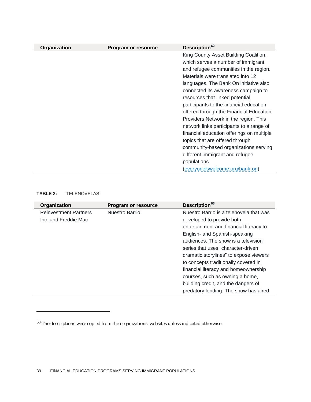| Organization | <b>Program or resource</b> | Description <sup>62</sup>                 |
|--------------|----------------------------|-------------------------------------------|
|              |                            | King County Asset Building Coalition,     |
|              |                            | which serves a number of immigrant        |
|              |                            | and refugee communities in the region.    |
|              |                            | Materials were translated into 12         |
|              |                            | languages. The Bank On initiative also    |
|              |                            | connected its awareness campaign to       |
|              |                            | resources that linked potential           |
|              |                            | participants to the financial education   |
|              |                            | offered through the Financial Education   |
|              |                            | Providers Network in the region. This     |
|              |                            | network links participants to a range of  |
|              |                            | financial education offerings on multiple |
|              |                            | topics that are offered through           |
|              |                            | community-based organizations serving     |
|              |                            | different immigrant and refugee           |
|              |                            | populations.                              |
|              |                            | (everyoneiswelcome.org/bank-on)           |

### **TABLE 2:** TELENOVELAS

| Organization                 | <b>Program or resource</b> | Description <sup>63</sup>               |
|------------------------------|----------------------------|-----------------------------------------|
| <b>Reinvestment Partners</b> | Nuestro Barrio             | Nuestro Barrio is a telenovela that was |
| Inc. and Freddie Mac         |                            | developed to provide both               |
|                              |                            | entertainment and financial literacy to |
|                              |                            | English- and Spanish-speaking           |
|                              |                            | audiences. The show is a television     |
|                              |                            | series that uses "character-driven      |
|                              |                            | dramatic storylines" to expose viewers  |
|                              |                            | to concepts traditionally covered in    |
|                              |                            | financial literacy and homeownership    |
|                              |                            | courses, such as owning a home,         |
|                              |                            | building credit, and the dangers of     |
|                              |                            | predatory lending. The show has aired   |

<span id="page-39-0"></span> $^{63}$  The descriptions were copied from the organizations' websites unless indicated otherwise.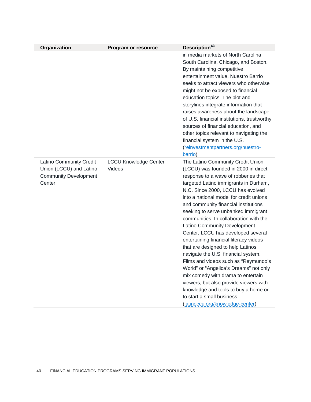| Organization                                                                                        | <b>Program or resource</b>             | Description <sup>63</sup>                                                                                                                                                                                                                                                                                                                                                                                                                                                                                                                                                                                                                                                                                                                                                                                                                   |
|-----------------------------------------------------------------------------------------------------|----------------------------------------|---------------------------------------------------------------------------------------------------------------------------------------------------------------------------------------------------------------------------------------------------------------------------------------------------------------------------------------------------------------------------------------------------------------------------------------------------------------------------------------------------------------------------------------------------------------------------------------------------------------------------------------------------------------------------------------------------------------------------------------------------------------------------------------------------------------------------------------------|
|                                                                                                     |                                        | in media markets of North Carolina,<br>South Carolina, Chicago, and Boston.<br>By maintaining competitive<br>entertainment value, Nuestro Barrio<br>seeks to attract viewers who otherwise<br>might not be exposed to financial<br>education topics. The plot and<br>storylines integrate information that<br>raises awareness about the landscape<br>of U.S. financial institutions, trustworthy<br>sources of financial education, and<br>other topics relevant to navigating the<br>financial system in the U.S.<br>(reinvestmentpartners.org/nuestro-<br>barrio)                                                                                                                                                                                                                                                                        |
| <b>Latino Community Credit</b><br>Union (LCCU) and Latino<br><b>Community Development</b><br>Center | <b>LCCU Knowledge Center</b><br>Videos | The Latino Community Credit Union<br>(LCCU) was founded in 2000 in direct<br>response to a wave of robberies that<br>targeted Latino immigrants in Durham,<br>N.C. Since 2000, LCCU has evolved<br>into a national model for credit unions<br>and community financial institutions<br>seeking to serve unbanked immigrant<br>communities. In collaboration with the<br>Latino Community Development<br>Center, LCCU has developed several<br>entertaining financial literacy videos<br>that are designed to help Latinos<br>navigate the U.S. financial system.<br>Films and videos such as "Reymundo's<br>World" or "Angelica's Dreams" not only<br>mix comedy with drama to entertain<br>viewers, but also provide viewers with<br>knowledge and tools to buy a home or<br>to start a small business.<br>(latinoccu.org/knowledge-center) |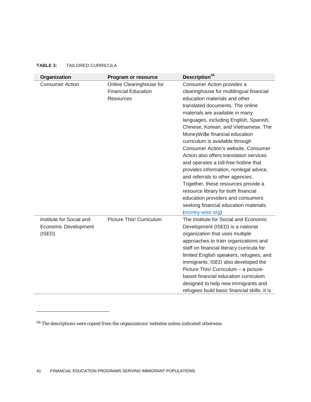$\overline{a}$ 

| Organization                                                      | Program or resource                                                        | Description <sup>64</sup>                                                                                                                                                                                                                                                                                                                                                                                                                                                                                                                                                                                                                                                                                                              |
|-------------------------------------------------------------------|----------------------------------------------------------------------------|----------------------------------------------------------------------------------------------------------------------------------------------------------------------------------------------------------------------------------------------------------------------------------------------------------------------------------------------------------------------------------------------------------------------------------------------------------------------------------------------------------------------------------------------------------------------------------------------------------------------------------------------------------------------------------------------------------------------------------------|
| <b>Consumer Action</b>                                            | Online Clearinghouse for<br><b>Financial Education</b><br><b>Resources</b> | Consumer Action provides a<br>clearinghouse for multilingual financial<br>education materials and other<br>translated documents. The online<br>materials are available in many<br>languages, including English, Spanish,<br>Chinese, Korean, and Vietnamese. The<br>MoneyWi\$e financial education<br>curriculum is available through<br><b>Consumer Action's website, Consumer</b><br>Action also offers translation services<br>and operates a toll-free hotline that<br>provides information, nonlegal advice,<br>and referrals to other agencies.<br>Together, these resources provide a<br>resource library for both financial<br>education providers and consumers<br>seeking financial education materials.<br>(money-wise.org) |
| Institute for Social and<br><b>Economic Development</b><br>(ISED) | <b>Picture This! Curriculum</b>                                            | The Institute for Social and Economic<br>Development (ISED) is a national<br>organization that uses multiple<br>approaches to train organizations and<br>staff on financial literacy curricula for<br>limited English speakers, refugees, and<br>immigrants. ISED also developed the<br>Picture This! Curriculum - a picture-<br>based financial education curriculum<br>designed to help new immigrants and<br>refugees build basic financial skills. It is                                                                                                                                                                                                                                                                           |

<span id="page-41-0"></span> $\rm ^{64}$  The descriptions were copied from the organizations' websites unless indicated otherwise.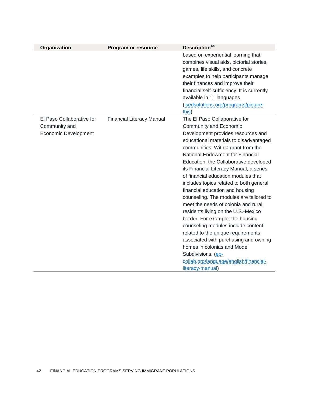| Organization                | Program or resource              | Description <sup>64</sup>                                                 |
|-----------------------------|----------------------------------|---------------------------------------------------------------------------|
|                             |                                  | based on experiential learning that                                       |
|                             |                                  | combines visual aids, pictorial stories,                                  |
|                             |                                  | games, life skills, and concrete                                          |
|                             |                                  | examples to help participants manage                                      |
|                             |                                  | their finances and improve their                                          |
|                             |                                  | financial self-sufficiency. It is currently<br>available in 11 languages. |
|                             |                                  | (isedsolutions.org/programs/picture-<br>this)                             |
| El Paso Collaborative for   | <b>Financial Literacy Manual</b> | The El Paso Collaborative for                                             |
| Community and               |                                  | Community and Economic                                                    |
| <b>Economic Development</b> |                                  | Development provides resources and                                        |
|                             |                                  | educational materials to disadvantaged                                    |
|                             |                                  | communities. With a grant from the                                        |
|                             |                                  | <b>National Endowment for Financial</b>                                   |
|                             |                                  | Education, the Collaborative developed                                    |
|                             |                                  | its Financial Literacy Manual, a series                                   |
|                             |                                  | of financial education modules that                                       |
|                             |                                  | includes topics related to both general                                   |
|                             |                                  | financial education and housing                                           |
|                             |                                  | counseling. The modules are tailored to                                   |
|                             |                                  | meet the needs of colonia and rural                                       |
|                             |                                  | residents living on the U.S.-Mexico                                       |
|                             |                                  | border. For example, the housing<br>counseling modules include content    |
|                             |                                  | related to the unique requirements                                        |
|                             |                                  | associated with purchasing and owning                                     |
|                             |                                  | homes in colonias and Model                                               |
|                             |                                  | Subdivisions. (ep-                                                        |
|                             |                                  | collab.org/language/english/financial-                                    |
|                             |                                  | literacy-manual)                                                          |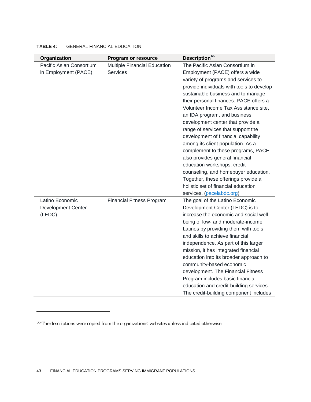| Organization              | Program or resource              | Description <sup>65</sup>                                          |
|---------------------------|----------------------------------|--------------------------------------------------------------------|
| Pacific Asian Consortium  | Multiple Financial Education     | The Pacific Asian Consortium in                                    |
| in Employment (PACE)      | <b>Services</b>                  | Employment (PACE) offers a wide                                    |
|                           |                                  | variety of programs and services to                                |
|                           |                                  | provide individuals with tools to develop                          |
|                           |                                  | sustainable business and to manage                                 |
|                           |                                  | their personal finances. PACE offers a                             |
|                           |                                  | Volunteer Income Tax Assistance site,                              |
|                           |                                  | an IDA program, and business                                       |
|                           |                                  | development center that provide a                                  |
|                           |                                  | range of services that support the                                 |
|                           |                                  | development of financial capability                                |
|                           |                                  | among its client population. As a                                  |
|                           |                                  | complement to these programs, PACE                                 |
|                           |                                  | also provides general financial                                    |
|                           |                                  | education workshops, credit                                        |
|                           |                                  | counseling, and homebuyer education.                               |
|                           |                                  | Together, these offerings provide a                                |
|                           |                                  | holistic set of financial education                                |
|                           |                                  | services. (pacelabdc.org)                                          |
| Latino Economic           | <b>Financial Fitness Program</b> | The goal of the Latino Economic                                    |
| <b>Development Center</b> |                                  | Development Center (LEDC) is to                                    |
| (LEDC)                    |                                  | increase the economic and social well-                             |
|                           |                                  | being of low- and moderate-income                                  |
|                           |                                  | Latinos by providing them with tools                               |
|                           |                                  | and skills to achieve financial                                    |
|                           |                                  | independence. As part of this larger                               |
|                           |                                  | mission, it has integrated financial                               |
|                           |                                  | education into its broader approach to<br>community-based economic |
|                           |                                  | development. The Financial Fitness                                 |
|                           |                                  | Program includes basic financial                                   |
|                           |                                  | education and credit-building services.                            |
|                           |                                  | The credit-building component includes                             |
|                           |                                  |                                                                    |

### **TABLE 4:** GENERAL FINANCIAL EDUCATION

<span id="page-43-0"></span> $\rm ^{65}$  The descriptions were copied from the organizations' websites unless indicated otherwise.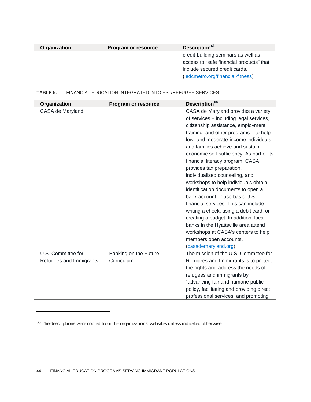| Organization | Program or resource | Description <sup>65</sup>                |
|--------------|---------------------|------------------------------------------|
|              |                     | credit-building seminars as well as      |
|              |                     | access to "safe financial products" that |
|              |                     | include secured credit cards.            |
|              |                     | (ledcmetro.org/financial-fitness)        |

### **TABLE 5:** FINANCIAL EDUCATION INTEGRATED INTO ESL/REFUGEE SERVICES

| Organization            | Program or resource   | Description <sup>66</sup>                 |
|-------------------------|-----------------------|-------------------------------------------|
| CASA de Maryland        |                       | CASA de Maryland provides a variety       |
|                         |                       | of services – including legal services,   |
|                         |                       | citizenship assistance, employment        |
|                         |                       | training, and other programs $-$ to help  |
|                         |                       | low- and moderate-income individuals      |
|                         |                       | and families achieve and sustain          |
|                         |                       | economic self-sufficiency. As part of its |
|                         |                       | financial literacy program, CASA          |
|                         |                       | provides tax preparation,                 |
|                         |                       | individualized counseling, and            |
|                         |                       | workshops to help individuals obtain      |
|                         |                       | identification documents to open a        |
|                         |                       | bank account or use basic U.S.            |
|                         |                       | financial services. This can include      |
|                         |                       | writing a check, using a debit card, or   |
|                         |                       | creating a budget. In addition, local     |
|                         |                       | banks in the Hyattsville area attend      |
|                         |                       | workshops at CASA's centers to help       |
|                         |                       | members open accounts.                    |
|                         |                       | (casademaryland.org)                      |
| U.S. Committee for      | Banking on the Future | The mission of the U.S. Committee for     |
| Refugees and Immigrants | Curriculum            | Refugees and Immigrants is to protect     |
|                         |                       | the rights and address the needs of       |
|                         |                       | refugees and immigrants by                |
|                         |                       | "advancing fair and humane public         |
|                         |                       | policy, facilitating and providing direct |
|                         |                       | professional services, and promoting      |

<span id="page-44-0"></span> $^{66}\!$  The descriptions were copied from the organizations' websites unless indicated otherwise.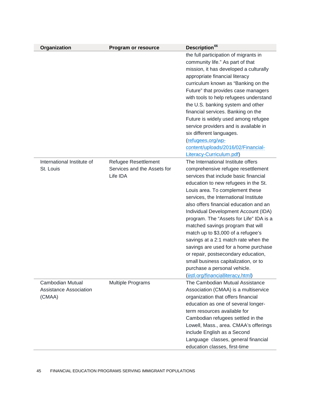| Organization                                                | <b>Program or resource</b>                                      | Description <sup>66</sup>                                                                                                                                                                                                                                                                                                                                                                                                                                                                                                                                                                                                                                                          |
|-------------------------------------------------------------|-----------------------------------------------------------------|------------------------------------------------------------------------------------------------------------------------------------------------------------------------------------------------------------------------------------------------------------------------------------------------------------------------------------------------------------------------------------------------------------------------------------------------------------------------------------------------------------------------------------------------------------------------------------------------------------------------------------------------------------------------------------|
|                                                             |                                                                 | the full participation of migrants in<br>community life." As part of that<br>mission, it has developed a culturally<br>appropriate financial literacy<br>curriculum known as "Banking on the<br>Future" that provides case managers<br>with tools to help refugees understand<br>the U.S. banking system and other<br>financial services. Banking on the<br>Future is widely used among refugee<br>service providers and is available in<br>six different languages.<br>(refugees.org/wp-<br>content/uploads/2016/02/Financial-<br>Literacy-Curriculum.pdf)                                                                                                                        |
| International Institute of<br>St. Louis                     | Refugee Resettlement<br>Services and the Assets for<br>Life IDA | The International Institute offers<br>comprehensive refugee resettlement<br>services that include basic financial<br>education to new refugees in the St.<br>Louis area. To complement these<br>services, the International Institute<br>also offers financial education and an<br>Individual Development Account (IDA)<br>program. The "Assets for Life" IDA is a<br>matched savings program that will<br>match up to \$3,000 of a refugee's<br>savings at a 2:1 match rate when the<br>savings are used for a home purchase<br>or repair, postsecondary education,<br>small business capitalization, or to<br>purchase a personal vehicle.<br>(iistl.org/financialliteracy.html) |
| Cambodian Mutual<br><b>Assistance Association</b><br>(CMAA) | Multiple Programs                                               | The Cambodian Mutual Assistance<br>Association (CMAA) is a multiservice<br>organization that offers financial<br>education as one of several longer-<br>term resources available for<br>Cambodian refugees settled in the<br>Lowell, Mass., area. CMAA's offerings<br>include English as a Second<br>Language classes, general financial<br>education classes, first-time                                                                                                                                                                                                                                                                                                          |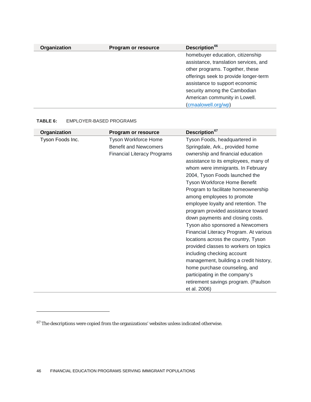| Organization | Program or resource | Description <sup>66</sup>             |
|--------------|---------------------|---------------------------------------|
|              |                     | homebuyer education, citizenship      |
|              |                     | assistance, translation services, and |
|              |                     | other programs. Together, these       |
|              |                     | offerings seek to provide longer-term |
|              |                     | assistance to support economic        |
|              |                     | security among the Cambodian          |
|              |                     | American community in Lowell.         |
|              |                     | (cmaalowell.org/wp)                   |

#### **TABLE 6:** EMPLOYER-BASED PROGRAMS

| Organization     | Program or resource                | Description <sup>67</sup>              |
|------------------|------------------------------------|----------------------------------------|
| Tyson Foods Inc. | <b>Tyson Workforce Home</b>        | Tyson Foods, headquartered in          |
|                  | <b>Benefit and Newcomers</b>       | Springdale, Ark., provided home        |
|                  | <b>Financial Literacy Programs</b> | ownership and financial education      |
|                  |                                    | assistance to its employees, many of   |
|                  |                                    | whom were immigrants. In February      |
|                  |                                    | 2004, Tyson Foods launched the         |
|                  |                                    | Tyson Workforce Home Benefit           |
|                  |                                    | Program to facilitate homeownership    |
|                  |                                    | among employees to promote             |
|                  |                                    | employee loyalty and retention. The    |
|                  |                                    | program provided assistance toward     |
|                  |                                    | down payments and closing costs.       |
|                  |                                    | Tyson also sponsored a Newcomers       |
|                  |                                    | Financial Literacy Program. At various |
|                  |                                    | locations across the country, Tyson    |
|                  |                                    | provided classes to workers on topics  |
|                  |                                    | including checking account             |
|                  |                                    | management, building a credit history, |
|                  |                                    | home purchase counseling, and          |
|                  |                                    | participating in the company's         |
|                  |                                    | retirement savings program. (Paulson   |
|                  |                                    | et al. 2006)                           |

<span id="page-46-0"></span> $\rm ^{67}$  The descriptions were copied from the organizations' websites unless indicated otherwise.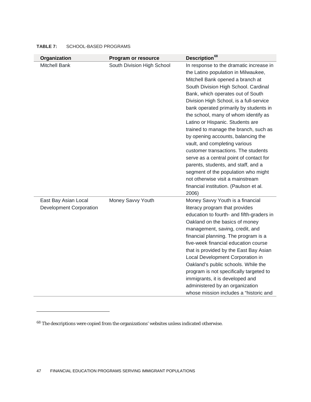| Organization                                           | Program or resource        | Description <sup>68</sup>                                                                                                                                                                                                                                                                                                                                                                                                                                                                                                                                                                                                                                                                                                               |
|--------------------------------------------------------|----------------------------|-----------------------------------------------------------------------------------------------------------------------------------------------------------------------------------------------------------------------------------------------------------------------------------------------------------------------------------------------------------------------------------------------------------------------------------------------------------------------------------------------------------------------------------------------------------------------------------------------------------------------------------------------------------------------------------------------------------------------------------------|
| <b>Mitchell Bank</b>                                   | South Division High School | In response to the dramatic increase in<br>the Latino population in Milwaukee,<br>Mitchell Bank opened a branch at<br>South Division High School. Cardinal<br>Bank, which operates out of South<br>Division High School, is a full-service<br>bank operated primarily by students in<br>the school, many of whom identify as<br>Latino or Hispanic. Students are<br>trained to manage the branch, such as<br>by opening accounts, balancing the<br>vault, and completing various<br>customer transactions. The students<br>serve as a central point of contact for<br>parents, students, and staff, and a<br>segment of the population who might<br>not otherwise visit a mainstream<br>financial institution. (Paulson et al.<br>2006) |
| East Bay Asian Local<br><b>Development Corporation</b> | Money Savvy Youth          | Money Savvy Youth is a financial<br>literacy program that provides<br>education to fourth- and fifth-graders in<br>Oakland on the basics of money<br>management, saving, credit, and<br>financial planning. The program is a<br>five-week financial education course<br>that is provided by the East Bay Asian<br>Local Development Corporation in<br>Oakland's public schools. While the<br>program is not specifically targeted to<br>immigrants, it is developed and<br>administered by an organization<br>whose mission includes a "historic and                                                                                                                                                                                    |

#### **TABLE 7:** SCHOOL-BASED PROGRAMS

<span id="page-47-0"></span> $^{68}$  The descriptions were copied from the organizations' websites unless indicated otherwise.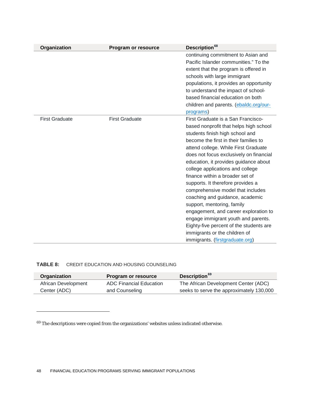| Organization          | Program or resource   | Description <sup>68</sup>               |
|-----------------------|-----------------------|-----------------------------------------|
|                       |                       | continuing commitment to Asian and      |
|                       |                       | Pacific Islander communities." To the   |
|                       |                       | extent that the program is offered in   |
|                       |                       | schools with large immigrant            |
|                       |                       | populations, it provides an opportunity |
|                       |                       | to understand the impact of school-     |
|                       |                       | based financial education on both       |
|                       |                       | children and parents. (ebaldc.org/our-  |
|                       |                       | programs)                               |
| <b>First Graduate</b> | <b>First Graduate</b> | First Graduate is a San Francisco-      |
|                       |                       | based nonprofit that helps high school  |
|                       |                       | students finish high school and         |
|                       |                       | become the first in their families to   |
|                       |                       | attend college. While First Graduate    |
|                       |                       | does not focus exclusively on financial |
|                       |                       | education, it provides guidance about   |
|                       |                       | college applications and college        |
|                       |                       | finance within a broader set of         |
|                       |                       | supports. It therefore provides a       |
|                       |                       | comprehensive model that includes       |
|                       |                       | coaching and guidance, academic         |
|                       |                       | support, mentoring, family              |
|                       |                       | engagement, and career exploration to   |
|                       |                       | engage immigrant youth and parents.     |
|                       |                       | Eighty-five percent of the students are |
|                       |                       | immigrants or the children of           |
|                       |                       | immigrants. (firstgraduate.org)         |

#### **TABLE 8:** CREDIT EDUCATION AND HOUSING COUNSELING

| Organization        | Program or resource            | Description <sup>69</sup>                |
|---------------------|--------------------------------|------------------------------------------|
| African Development | <b>ADC Financial Education</b> | The African Development Center (ADC)     |
| Center (ADC)        | and Counseling                 | seeks to serve the approximately 130,000 |

<span id="page-48-0"></span> $^{69}$  The descriptions were copied from the organizations' websites unless indicated otherwise.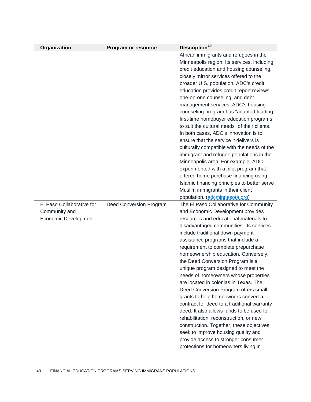| Organization                | Program or resource     | Description <sup>69</sup>                     |
|-----------------------------|-------------------------|-----------------------------------------------|
|                             |                         | African immigrants and refugees in the        |
|                             |                         | Minneapolis region. Its services, including   |
|                             |                         | credit education and housing counseling,      |
|                             |                         | closely mirror services offered to the        |
|                             |                         | broader U.S. population. ADC's credit         |
|                             |                         | education provides credit report reviews,     |
|                             |                         | one-on-one counseling, and debt               |
|                             |                         | management services. ADC's housing            |
|                             |                         | counseling program has "adapted leading       |
|                             |                         | first-time homebuyer education programs       |
|                             |                         | to suit the cultural needs" of their clients. |
|                             |                         | In both cases, ADC's innovation is to         |
|                             |                         | ensure that the service it delivers is        |
|                             |                         | culturally compatible with the needs of the   |
|                             |                         | immigrant and refugee populations in the      |
|                             |                         | Minneapolis area. For example, ADC            |
|                             |                         | experimented with a pilot program that        |
|                             |                         | offered home purchase financing using         |
|                             |                         | Islamic financing principles to better serve  |
|                             |                         | Muslim immigrants in their client             |
|                             |                         | population. (adcminnesota.org)                |
| El Paso Collaborative for   | Deed Conversion Program | The El Paso Collaborative for Community       |
| Community and               |                         | and Economic Development provides             |
| <b>Economic Development</b> |                         | resources and educational materials to        |
|                             |                         | disadvantaged communities. Its services       |
|                             |                         | include traditional down payment              |
|                             |                         | assistance programs that include a            |
|                             |                         | requirement to complete prepurchase           |
|                             |                         | homeownership education. Conversely,          |
|                             |                         | the Deed Conversion Program is a              |
|                             |                         | unique program designed to meet the           |
|                             |                         | needs of homeowners whose properties          |
|                             |                         | are located in colonias in Texas. The         |
|                             |                         | Deed Conversion Program offers small          |
|                             |                         | grants to help homeowners convert a           |
|                             |                         | contract for deed to a traditional warranty   |
|                             |                         | deed. It also allows funds to be used for     |
|                             |                         | rehabilitation, reconstruction, or new        |
|                             |                         | construction. Together, these objectives      |
|                             |                         | seek to improve housing quality and           |
|                             |                         | provide access to stronger consumer           |
|                             |                         | protections for homeowners living in          |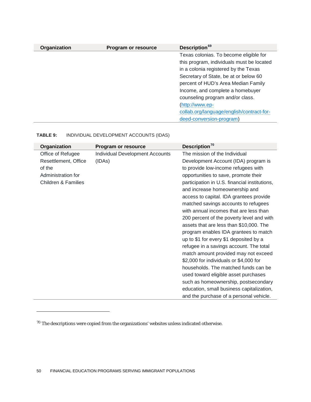| Organization | Program or resource | Description <sup>69</sup>                 |
|--------------|---------------------|-------------------------------------------|
|              |                     | Texas colonias. To become eligible for    |
|              |                     | this program, individuals must be located |
|              |                     | in a colonia registered by the Texas      |
|              |                     | Secretary of State, be at or below 60     |
|              |                     | percent of HUD's Area Median Family       |
|              |                     | Income, and complete a homebuyer          |
|              |                     | counseling program and/or class.          |
|              |                     | (http://www.ep-                           |
|              |                     | collab.org/language/english/contract-for- |
|              |                     | deed-conversion-program)                  |

### **TABLE 9:** INDIVIDUAL DEVELOPMENT ACCOUNTS (IDAS)

| Organization         | Program or resource                    | Description <sup>70</sup>                     |
|----------------------|----------------------------------------|-----------------------------------------------|
| Office of Refugee    | <b>Individual Development Accounts</b> | The mission of the Individual                 |
| Resettlement, Office | (IDAs)                                 | Development Account (IDA) program is          |
| of the               |                                        | to provide low-income refugees with           |
| Administration for   |                                        | opportunities to save, promote their          |
| Children & Families  |                                        | participation in U.S. financial institutions, |
|                      |                                        | and increase homeownership and                |
|                      |                                        | access to capital. IDA grantees provide       |
|                      |                                        | matched savings accounts to refugees          |
|                      |                                        | with annual incomes that are less than        |
|                      |                                        | 200 percent of the poverty level and with     |
|                      |                                        | assets that are less than \$10,000. The       |
|                      |                                        | program enables IDA grantees to match         |
|                      |                                        | up to \$1 for every \$1 deposited by a        |
|                      |                                        | refugee in a savings account. The total       |
|                      |                                        | match amount provided may not exceed          |
|                      |                                        | \$2,000 for individuals or \$4,000 for        |
|                      |                                        | households. The matched funds can be          |
|                      |                                        | used toward eligible asset purchases          |
|                      |                                        | such as homeownership, postsecondary          |
|                      |                                        | education, small business capitalization,     |
|                      |                                        | and the purchase of a personal vehicle.       |

<span id="page-50-0"></span> $^{\rm 70}$  The descriptions were copied from the organizations' websites unless indicated otherwise.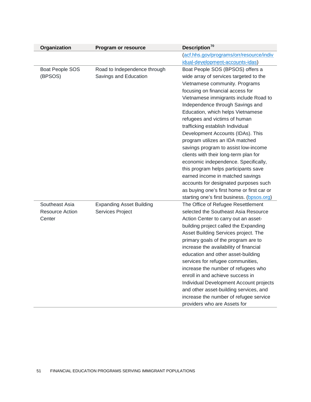| Organization    | Program or resource             | Description <sup>70</sup>                  |
|-----------------|---------------------------------|--------------------------------------------|
|                 |                                 | (acf.hhs.gov/programs/orr/resource/indiv   |
|                 |                                 | idual-development-accounts-idas)           |
| Boat People SOS | Road to Independence through    | Boat People SOS (BPSOS) offers a           |
| (BPSOS)         | Savings and Education           | wide array of services targeted to the     |
|                 |                                 | Vietnamese community. Programs             |
|                 |                                 | focusing on financial access for           |
|                 |                                 | Vietnamese immigrants include Road to      |
|                 |                                 | Independence through Savings and           |
|                 |                                 | Education, which helps Vietnamese          |
|                 |                                 | refugees and victims of human              |
|                 |                                 | trafficking establish Individual           |
|                 |                                 | Development Accounts (IDAs). This          |
|                 |                                 | program utilizes an IDA matched            |
|                 |                                 | savings program to assist low-income       |
|                 |                                 | clients with their long-term plan for      |
|                 |                                 | economic independence. Specifically,       |
|                 |                                 | this program helps participants save       |
|                 |                                 | earned income in matched savings           |
|                 |                                 | accounts for designated purposes such      |
|                 |                                 | as buying one's first home or first car or |
|                 |                                 | starting one's first business. (bpsos.org) |
| Southeast Asia  | <b>Expanding Asset Building</b> | The Office of Refugee Resettlement         |
| Resource Action | Services Project                | selected the Southeast Asia Resource       |
| Center          |                                 | Action Center to carry out an asset-       |
|                 |                                 | building project called the Expanding      |
|                 |                                 | Asset Building Services project. The       |
|                 |                                 | primary goals of the program are to        |
|                 |                                 | increase the availability of financial     |
|                 |                                 | education and other asset-building         |
|                 |                                 | services for refugee communities,          |
|                 |                                 | increase the number of refugees who        |
|                 |                                 | enroll in and achieve success in           |
|                 |                                 | Individual Development Account projects    |
|                 |                                 | and other asset-building services, and     |
|                 |                                 | increase the number of refugee service     |
|                 |                                 | providers who are Assets for               |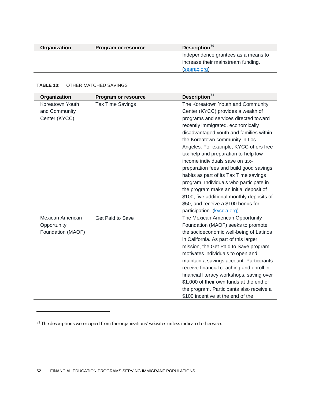| Organization | Program or resource | Description <sup>70</sup>           |
|--------------|---------------------|-------------------------------------|
|              |                     | Independence grantees as a means to |
|              |                     | increase their mainstream funding.  |
|              |                     | (searac.org)                        |

#### **TABLE 10:** OTHER MATCHED SAVINGS

 $\overline{a}$ 

| Organization                                         | Program or resource     | Description <sup>71</sup>                                                                                                                                                                                                                                                                                                                                                                                                                                                                                                                                                                                                                              |
|------------------------------------------------------|-------------------------|--------------------------------------------------------------------------------------------------------------------------------------------------------------------------------------------------------------------------------------------------------------------------------------------------------------------------------------------------------------------------------------------------------------------------------------------------------------------------------------------------------------------------------------------------------------------------------------------------------------------------------------------------------|
| Koreatown Youth<br>and Community<br>Center (KYCC)    | <b>Tax Time Savings</b> | The Koreatown Youth and Community<br>Center (KYCC) provides a wealth of<br>programs and services directed toward<br>recently immigrated, economically<br>disadvantaged youth and families within<br>the Koreatown community in Los<br>Angeles. For example, KYCC offers free<br>tax help and preparation to help low-<br>income individuals save on tax-<br>preparation fees and build good savings<br>habits as part of its Tax Time savings<br>program. Individuals who participate in<br>the program make an initial deposit of<br>\$100, five additional monthly deposits of<br>\$50, and receive a \$100 bonus for<br>participation. (kyccla.org) |
| Mexican American<br>Opportunity<br>Foundation (MAOF) | Get Paid to Save        | The Mexican American Opportunity<br>Foundation (MAOF) seeks to promote<br>the socioeconomic well-being of Latinos<br>in California. As part of this larger<br>mission, the Get Paid to Save program<br>motivates individuals to open and<br>maintain a savings account. Participants<br>receive financial coaching and enroll in<br>financial literacy workshops, saving over<br>\$1,000 of their own funds at the end of<br>the program. Participants also receive a<br>\$100 incentive at the end of the                                                                                                                                             |

<span id="page-52-0"></span> $^{\rm 71}$  The descriptions were copied from the organizations' websites unless indicated otherwise.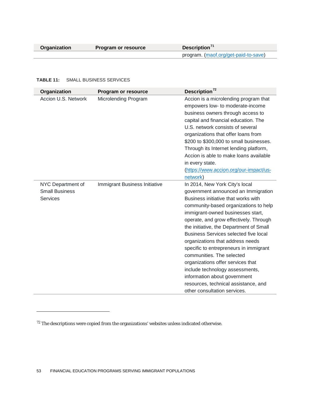$\overline{a}$ 

#### **TABLE 11:** SMALL BUSINESS SERVICES

| Organization                                                  | Program or resource           | Description <sup>72</sup>                                                                                                                                                                                                                                                                                                                                                                                                                                                                                                                                                                                           |
|---------------------------------------------------------------|-------------------------------|---------------------------------------------------------------------------------------------------------------------------------------------------------------------------------------------------------------------------------------------------------------------------------------------------------------------------------------------------------------------------------------------------------------------------------------------------------------------------------------------------------------------------------------------------------------------------------------------------------------------|
| Accion U.S. Network                                           | <b>Microlending Program</b>   | Accion is a microlending program that<br>empowers low- to moderate-income<br>business owners through access to<br>capital and financial education. The<br>U.S. network consists of several<br>organizations that offer loans from<br>\$200 to \$300,000 to small businesses.<br>Through its Internet lending platform,<br>Accion is able to make loans available<br>in every state.<br>(https://www.accion.org/our-impact/us-<br>network)                                                                                                                                                                           |
| NYC Department of<br><b>Small Business</b><br><b>Services</b> | Immigrant Business Initiative | In 2014, New York City's local<br>government announced an Immigration<br>Business initiative that works with<br>community-based organizations to help<br>immigrant-owned businesses start,<br>operate, and grow effectively. Through<br>the initiative, the Department of Small<br>Business Services selected five local<br>organizations that address needs<br>specific to entrepreneurs in immigrant<br>communities. The selected<br>organizations offer services that<br>include technology assessments,<br>information about government<br>resources, technical assistance, and<br>other consultation services. |

<span id="page-53-0"></span> $^{72}$  The descriptions were copied from the organizations' websites unless indicated otherwise.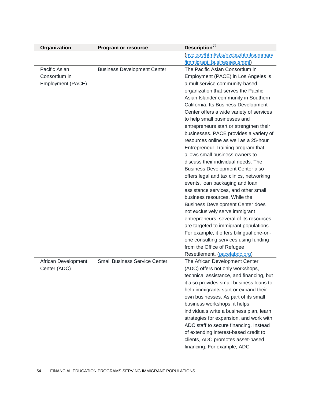| Organization        | <b>Program or resource</b>           | Description <sup>72</sup>                                               |
|---------------------|--------------------------------------|-------------------------------------------------------------------------|
|                     |                                      | (nyc.gov/html/sbs/nycbiz/html/summary<br>/immigrant_businesses.shtml)   |
| Pacific Asian       | <b>Business Development Center</b>   | The Pacific Asian Consortium in                                         |
| Consortium in       |                                      | Employment (PACE) in Los Angeles is                                     |
| Employment (PACE)   |                                      | a multiservice community-based                                          |
|                     |                                      | organization that serves the Pacific                                    |
|                     |                                      | Asian Islander community in Southern                                    |
|                     |                                      | California. Its Business Development                                    |
|                     |                                      | Center offers a wide variety of services                                |
|                     |                                      | to help small businesses and                                            |
|                     |                                      | entrepreneurs start or strengthen their                                 |
|                     |                                      | businesses. PACE provides a variety of                                  |
|                     |                                      | resources online as well as a 25-hour                                   |
|                     |                                      | Entrepreneur Training program that                                      |
|                     |                                      | allows small business owners to                                         |
|                     |                                      | discuss their individual needs. The                                     |
|                     |                                      | <b>Business Development Center also</b>                                 |
|                     |                                      | offers legal and tax clinics, networking                                |
|                     |                                      | events, loan packaging and loan<br>assistance services, and other small |
|                     |                                      | business resources. While the                                           |
|                     |                                      | <b>Business Development Center does</b>                                 |
|                     |                                      | not exclusively serve immigrant                                         |
|                     |                                      | entrepreneurs, several of its resources                                 |
|                     |                                      | are targeted to immigrant populations.                                  |
|                     |                                      | For example, it offers bilingual one-on-                                |
|                     |                                      | one consulting services using funding                                   |
|                     |                                      | from the Office of Refugee                                              |
|                     |                                      | Resettlement. (pacelabdc.org)                                           |
| African Development | <b>Small Business Service Center</b> | The African Development Center                                          |
| Center (ADC)        |                                      | (ADC) offers not only workshops,                                        |
|                     |                                      | technical assistance, and financing, but                                |
|                     |                                      | it also provides small business loans to                                |
|                     |                                      | help immigrants start or expand their                                   |
|                     |                                      | own businesses. As part of its small                                    |
|                     |                                      | business workshops, it helps                                            |
|                     |                                      | individuals write a business plan, learn                                |
|                     |                                      | strategies for expansion, and work with                                 |
|                     |                                      | ADC staff to secure financing. Instead                                  |
|                     |                                      | of extending interest-based credit to                                   |
|                     |                                      | clients, ADC promotes asset-based                                       |
|                     |                                      | financing. For example, ADC                                             |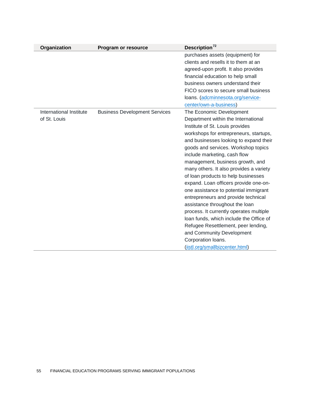| Organization            | Program or resource                  | Description <sup>72</sup>               |
|-------------------------|--------------------------------------|-----------------------------------------|
|                         |                                      | purchases assets (equipment) for        |
|                         |                                      | clients and resells it to them at an    |
|                         |                                      | agreed-upon profit. It also provides    |
|                         |                                      | financial education to help small       |
|                         |                                      | business owners understand their        |
|                         |                                      | FICO scores to secure small business    |
|                         |                                      | loans. (adcminnesota.org/service-       |
|                         |                                      | center/own-a-business)                  |
| International Institute | <b>Business Development Services</b> | The Economic Development                |
| of St. Louis            |                                      | Department within the International     |
|                         |                                      | Institute of St. Louis provides         |
|                         |                                      | workshops for entrepreneurs, startups,  |
|                         |                                      | and businesses looking to expand their  |
|                         |                                      | goods and services. Workshop topics     |
|                         |                                      | include marketing, cash flow            |
|                         |                                      | management, business growth, and        |
|                         |                                      | many others. It also provides a variety |
|                         |                                      | of loan products to help businesses     |
|                         |                                      | expand. Loan officers provide one-on-   |
|                         |                                      | one assistance to potential immigrant   |
|                         |                                      | entrepreneurs and provide technical     |
|                         |                                      | assistance throughout the loan          |
|                         |                                      | process. It currently operates multiple |
|                         |                                      | loan funds, which include the Office of |
|                         |                                      | Refugee Resettlement, peer lending,     |
|                         |                                      | and Community Development               |
|                         |                                      | Corporation loans.                      |
|                         |                                      | (iistl.org/smallbizcenter.html)         |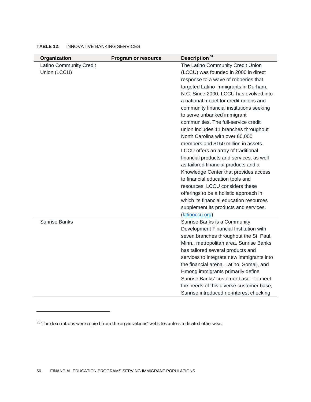| Organization                                   | Program or resource | Description <sup>73</sup>                                                                                                                                                                                                                                                                                                                                                                                                                                                                                                                                                                                                                                                                                                                                                                                                                                                         |
|------------------------------------------------|---------------------|-----------------------------------------------------------------------------------------------------------------------------------------------------------------------------------------------------------------------------------------------------------------------------------------------------------------------------------------------------------------------------------------------------------------------------------------------------------------------------------------------------------------------------------------------------------------------------------------------------------------------------------------------------------------------------------------------------------------------------------------------------------------------------------------------------------------------------------------------------------------------------------|
| <b>Latino Community Credit</b><br>Union (LCCU) |                     | The Latino Community Credit Union<br>(LCCU) was founded in 2000 in direct<br>response to a wave of robberies that<br>targeted Latino immigrants in Durham,<br>N.C. Since 2000, LCCU has evolved into<br>a national model for credit unions and<br>community financial institutions seeking<br>to serve unbanked immigrant<br>communities. The full-service credit<br>union includes 11 branches throughout<br>North Carolina with over 60,000<br>members and \$150 million in assets.<br>LCCU offers an array of traditional<br>financial products and services, as well<br>as tailored financial products and a<br>Knowledge Center that provides access<br>to financial education tools and<br>resources. LCCU considers these<br>offerings to be a holistic approach in<br>which its financial education resources<br>supplement its products and services.<br>(latinoccu.org) |
| <b>Sunrise Banks</b>                           |                     | Sunrise Banks is a Community<br>Development Financial Institution with<br>seven branches throughout the St. Paul,<br>Minn., metropolitan area. Sunrise Banks<br>has tailored several products and<br>services to integrate new immigrants into<br>the financial arena. Latino, Somali, and<br>Hmong immigrants primarily define<br>Sunrise Banks' customer base. To meet<br>the needs of this diverse customer base,<br>Sunrise introduced no-interest checking                                                                                                                                                                                                                                                                                                                                                                                                                   |

### **TABLE 12:** INNOVATIVE BANKING SERVICES

<span id="page-56-0"></span> $^{\rm 73}$  The descriptions were copied from the organizations' websites unless indicated otherwise.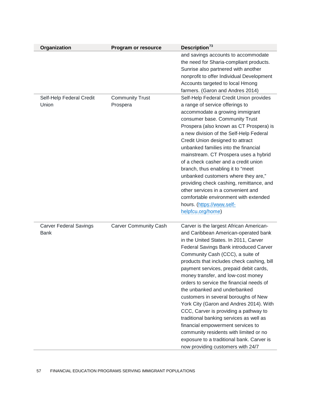| Organization                                 | Program or resource                | Description <sup>73</sup>                                                                                                                                                                                                                                                                                                                                                                                                                                                                                                                                                                                                                                                                                                                                |
|----------------------------------------------|------------------------------------|----------------------------------------------------------------------------------------------------------------------------------------------------------------------------------------------------------------------------------------------------------------------------------------------------------------------------------------------------------------------------------------------------------------------------------------------------------------------------------------------------------------------------------------------------------------------------------------------------------------------------------------------------------------------------------------------------------------------------------------------------------|
|                                              |                                    | and savings accounts to accommodate<br>the need for Sharia-compliant products.<br>Sunrise also partnered with another<br>nonprofit to offer Individual Development<br>Accounts targeted to local Hmong<br>farmers. (Garon and Andres 2014)                                                                                                                                                                                                                                                                                                                                                                                                                                                                                                               |
| Self-Help Federal Credit<br>Union            | <b>Community Trust</b><br>Prospera | Self-Help Federal Credit Union provides<br>a range of service offerings to<br>accommodate a growing immigrant<br>consumer base. Community Trust<br>Prospera (also known as CT Prospera) is<br>a new division of the Self-Help Federal<br>Credit Union designed to attract<br>unbanked families into the financial<br>mainstream. CT Prospera uses a hybrid<br>of a check casher and a credit union<br>branch, thus enabling it to "meet<br>unbanked customers where they are,"<br>providing check cashing, remittance, and<br>other services in a convenient and<br>comfortable environment with extended<br>hours. (https://www.self-<br>helpfcu.org/home)                                                                                              |
| <b>Carver Federal Savings</b><br><b>Bank</b> | <b>Carver Community Cash</b>       | Carver is the largest African American-<br>and Caribbean American-operated bank<br>in the United States. In 2011, Carver<br>Federal Savings Bank introduced Carver<br>Community Cash (CCC), a suite of<br>products that includes check cashing, bill<br>payment services, prepaid debit cards,<br>money transfer, and low-cost money<br>orders to service the financial needs of<br>the unbanked and underbanked<br>customers in several boroughs of New<br>York City (Garon and Andres 2014). With<br>CCC, Carver is providing a pathway to<br>traditional banking services as well as<br>financial empowerment services to<br>community residents with limited or no<br>exposure to a traditional bank. Carver is<br>now providing customers with 24/7 |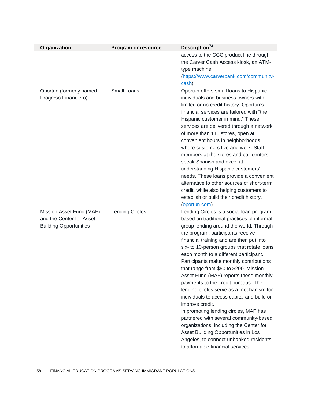| Organization                                                                          | Program or resource    | Description <sup>73</sup>                                                                                                                                                                                                                                                                                                                                                                                                                                                                                                                                                                                                                                                                                                                                                                                                                         |
|---------------------------------------------------------------------------------------|------------------------|---------------------------------------------------------------------------------------------------------------------------------------------------------------------------------------------------------------------------------------------------------------------------------------------------------------------------------------------------------------------------------------------------------------------------------------------------------------------------------------------------------------------------------------------------------------------------------------------------------------------------------------------------------------------------------------------------------------------------------------------------------------------------------------------------------------------------------------------------|
|                                                                                       |                        | access to the CCC product line through<br>the Carver Cash Access kiosk, an ATM-<br>type machine.<br>(https://www.carverbank.com/community-<br>cash)                                                                                                                                                                                                                                                                                                                                                                                                                                                                                                                                                                                                                                                                                               |
| Oportun (formerly named<br>Progreso Financiero)                                       | <b>Small Loans</b>     | Oportun offers small loans to Hispanic<br>individuals and business owners with<br>limited or no credit history. Oportun's<br>financial services are tailored with "the<br>Hispanic customer in mind." These<br>services are delivered through a network<br>of more than 110 stores, open at<br>convenient hours in neighborhoods<br>where customers live and work. Staff<br>members at the stores and call centers<br>speak Spanish and excel at<br>understanding Hispanic customers'<br>needs. These loans provide a convenient<br>alternative to other sources of short-term<br>credit, while also helping customers to<br>establish or build their credit history.<br>(oportun.com)                                                                                                                                                            |
| Mission Asset Fund (MAF)<br>and the Center for Asset<br><b>Building Opportunities</b> | <b>Lending Circles</b> | Lending Circles is a social loan program<br>based on traditional practices of informal<br>group lending around the world. Through<br>the program, participants receive<br>financial training and are then put into<br>six- to 10-person groups that rotate loans<br>each month to a different participant.<br>Participants make monthly contributions<br>that range from \$50 to \$200. Mission<br>Asset Fund (MAF) reports these monthly<br>payments to the credit bureaus. The<br>lending circles serve as a mechanism for<br>individuals to access capital and build or<br>improve credit.<br>In promoting lending circles, MAF has<br>partnered with several community-based<br>organizations, including the Center for<br>Asset Building Opportunities in Los<br>Angeles, to connect unbanked residents<br>to affordable financial services. |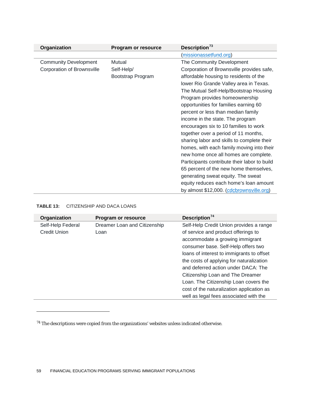| Organization                 | Program or resource | Description <sup>73</sup>                    |
|------------------------------|---------------------|----------------------------------------------|
|                              |                     | (missionassetfund.org)                       |
| <b>Community Development</b> | Mutual              | The Community Development                    |
| Corporation of Brownsville   | Self-Help/          | Corporation of Brownsville provides safe,    |
|                              | Bootstrap Program   | affordable housing to residents of the       |
|                              |                     | lower Rio Grande Valley area in Texas.       |
|                              |                     | The Mutual Self-Help/Bootstrap Housing       |
|                              |                     | Program provides homeownership               |
|                              |                     | opportunities for families earning 60        |
|                              |                     | percent or less than median family           |
|                              |                     | income in the state. The program             |
|                              |                     | encourages six to 10 families to work        |
|                              |                     | together over a period of 11 months,         |
|                              |                     | sharing labor and skills to complete their   |
|                              |                     | homes, with each family moving into their    |
|                              |                     | new home once all homes are complete.        |
|                              |                     | Participants contribute their labor to build |
|                              |                     | 65 percent of the new home themselves,       |
|                              |                     | generating sweat equity. The sweat           |
|                              |                     | equity reduces each home's loan amount       |
|                              |                     | by almost \$12,000. (cdcbrownsville.org)     |

### **TABLE 13:** CITIZENSHIP AND DACA LOANS

 $\overline{a}$ 

| Organization        | <b>Program or resource</b>   | Description <sup>74</sup>                 |
|---------------------|------------------------------|-------------------------------------------|
| Self-Help Federal   | Dreamer Loan and Citizenship | Self-Help Credit Union provides a range   |
| <b>Credit Union</b> | Loan                         | of service and product offerings to       |
|                     |                              | accommodate a growing immigrant           |
|                     |                              | consumer base. Self-Help offers two       |
|                     |                              | loans of interest to immigrants to offset |
|                     |                              | the costs of applying for naturalization  |
|                     |                              | and deferred action under DACA: The       |
|                     |                              | Citizenship Loan and The Dreamer          |
|                     |                              | Loan. The Citizenship Loan covers the     |
|                     |                              | cost of the naturalization application as |
|                     |                              | well as legal fees associated with the    |

<span id="page-59-0"></span> $^{\rm 74}$  The descriptions were copied from the organizations' websites unless indicated otherwise.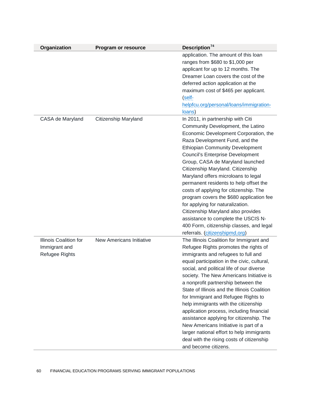| Organization                                              | Program or resource      | Description <sup>74</sup>                                                                                                                                                                                                                                                                                                                                                                                                                                                                                                                                                                                                                                                                 |
|-----------------------------------------------------------|--------------------------|-------------------------------------------------------------------------------------------------------------------------------------------------------------------------------------------------------------------------------------------------------------------------------------------------------------------------------------------------------------------------------------------------------------------------------------------------------------------------------------------------------------------------------------------------------------------------------------------------------------------------------------------------------------------------------------------|
|                                                           |                          | application. The amount of this loan<br>ranges from \$680 to \$1,000 per<br>applicant for up to 12 months. The<br>Dreamer Loan covers the cost of the<br>deferred action application at the<br>maximum cost of \$465 per applicant.<br>( <b>self</b><br>helpfcu.org/personal/loans/immigration-<br>loans)                                                                                                                                                                                                                                                                                                                                                                                 |
| CASA de Maryland                                          | Citizenship Maryland     | In 2011, in partnership with Citi<br>Community Development, the Latino<br>Economic Development Corporation, the<br>Raza Development Fund, and the<br><b>Ethiopian Community Development</b><br><b>Council's Enterprise Development</b><br>Group, CASA de Maryland launched<br>Citizenship Maryland. Citizenship<br>Maryland offers microloans to legal<br>permanent residents to help offset the<br>costs of applying for citizenship. The<br>program covers the \$680 application fee<br>for applying for naturalization.<br>Citizenship Maryland also provides<br>assistance to complete the USCIS N-<br>400 Form, citizenship classes, and legal<br>referrals. (citizenshipmd.org)     |
| Illinois Coalition for<br>Immigrant and<br>Refugee Rights | New Americans Initiative | The Illinois Coalition for Immigrant and<br>Refugee Rights promotes the rights of<br>immigrants and refugees to full and<br>equal participation in the civic, cultural,<br>social, and political life of our diverse<br>society. The New Americans Initiative is<br>a nonprofit partnership between the<br>State of Illinois and the Illinois Coalition<br>for Immigrant and Refugee Rights to<br>help immigrants with the citizenship<br>application process, including financial<br>assistance applying for citizenship. The<br>New Americans Initiative is part of a<br>larger national effort to help immigrants<br>deal with the rising costs of citizenship<br>and become citizens. |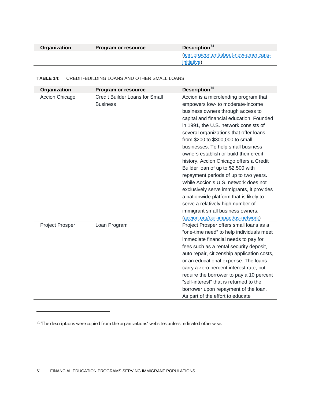| Organization | Program or resource | Description $74$                        |
|--------------|---------------------|-----------------------------------------|
|              |                     | (icirr.org/content/about-new-americans- |
|              |                     | initiative)                             |

#### **TABLE 14:** CREDIT-BUILDING LOANS AND OTHER SMALL LOANS

| Organization           | Program or resource                                      | Description <sup>75</sup>                                                                                                                                                                                                                                                                                                                                                                                                                                                                                                                                                                                                                                                                                                                  |
|------------------------|----------------------------------------------------------|--------------------------------------------------------------------------------------------------------------------------------------------------------------------------------------------------------------------------------------------------------------------------------------------------------------------------------------------------------------------------------------------------------------------------------------------------------------------------------------------------------------------------------------------------------------------------------------------------------------------------------------------------------------------------------------------------------------------------------------------|
| Accion Chicago         | <b>Credit Builder Loans for Small</b><br><b>Business</b> | Accion is a microlending program that<br>empowers low- to moderate-income<br>business owners through access to<br>capital and financial education. Founded<br>in 1991, the U.S. network consists of<br>several organizations that offer loans<br>from \$200 to \$300,000 to small<br>businesses. To help small business<br>owners establish or build their credit<br>history, Accion Chicago offers a Credit<br>Builder loan of up to \$2,500 with<br>repayment periods of up to two years.<br>While Accion's U.S. network does not<br>exclusively serve immigrants, it provides<br>a nationwide platform that is likely to<br>serve a relatively high number of<br>immigrant small business owners.<br>(accion.org/our-impact/us-network) |
| <b>Project Prosper</b> | Loan Program                                             | Project Prosper offers small loans as a<br>"one-time need" to help individuals meet<br>immediate financial needs to pay for<br>fees such as a rental security deposit,<br>auto repair, citizenship application costs,<br>or an educational expense. The loans<br>carry a zero percent interest rate, but<br>require the borrower to pay a 10 percent<br>"self-interest" that is returned to the<br>borrower upon repayment of the loan.<br>As part of the effort to educate                                                                                                                                                                                                                                                                |

<span id="page-61-0"></span> $^{\rm 75}$  The descriptions were copied from the organizations' websites unless indicated otherwise.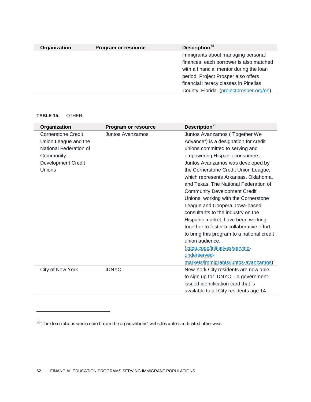| Organization | Program or resource | Description $75$                         |
|--------------|---------------------|------------------------------------------|
|              |                     | immigrants about managing personal       |
|              |                     | finances, each borrower is also matched  |
|              |                     | with a financial mentor during the loan  |
|              |                     | period. Project Prosper also offers      |
|              |                     | financial literacy classes in Pinellas   |
|              |                     | County, Florida. (projectprosper.org/en) |

#### **TABLE 15:** OTHER

| Organization              | Program or resource | Description <sup>76</sup>                  |
|---------------------------|---------------------|--------------------------------------------|
| <b>Cornerstone Credit</b> | Juntos Avanzamos    | Juntos Avanzamos ("Together We             |
| Union League and the      |                     | Advance") is a designation for credit      |
| National Federation of    |                     | unions committed to serving and            |
| Community                 |                     | empowering Hispanic consumers.             |
| <b>Development Credit</b> |                     | Juntos Avanzamos was developed by          |
| Unions                    |                     | the Cornerstone Credit Union League,       |
|                           |                     | which represents Arkansas, Oklahoma,       |
|                           |                     | and Texas. The National Federation of      |
|                           |                     | <b>Community Development Credit</b>        |
|                           |                     | Unions, working with the Cornerstone       |
|                           |                     | League and Coopera, Iowa-based             |
|                           |                     | consultants to the industry on the         |
|                           |                     | Hispanic market, have been working         |
|                           |                     | together to foster a collaborative effort  |
|                           |                     | to bring this program to a national credit |
|                           |                     | union audience.                            |
|                           |                     | (cdcu.coop/initiatives/serving-            |
|                           |                     | underserved-                               |
|                           |                     | markets/immigrants/juntos-avanzamos)       |
| City of New York          | <b>IDNYC</b>        | New York City residents are now able       |
|                           |                     | to sign up for IDNYC $-$ a government-     |
|                           |                     | issued identification card that is         |
|                           |                     | available to all City residents age 14     |

<span id="page-62-0"></span> $^{\rm 76}$  The descriptions were copied from the organizations' websites unless indicated otherwise.